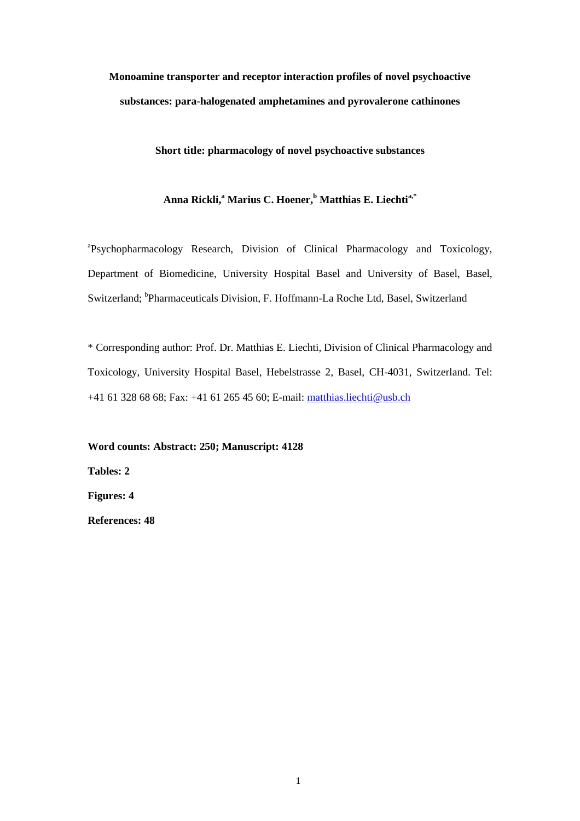**Monoamine transporter and receptor interaction profiles of novel psychoactive substances: para-halogenated amphetamines and pyrovalerone cathinones**

**Short title: pharmacology of novel psychoactive substances**

**Anna Rickli, <sup>a</sup> Marius C. Hoener, <sup>b</sup> Matthias E. Liechtia,\***

<sup>a</sup>Psychopharmacology Research, Division of Clinical Pharmacology and Toxicology, Department of Biomedicine, University Hospital Basel and University of Basel, Basel, Switzerland; <sup>b</sup>Pharmaceuticals Division, F. Hoffmann-La Roche Ltd, Basel, Switzerland

\* Corresponding author: Prof. Dr. Matthias E. Liechti, Division of Clinical Pharmacology and Toxicology, University Hospital Basel, Hebelstrasse 2, Basel, CH-4031, Switzerland. Tel: +41 61 328 68 68; Fax: +41 61 265 45 60; E-mail: [matthias.liechti@usb.ch](mailto:matthias.liechti@usb.ch)

**Word counts: Abstract: 250; Manuscript: 4128 Tables: 2 Figures: 4 References: 48**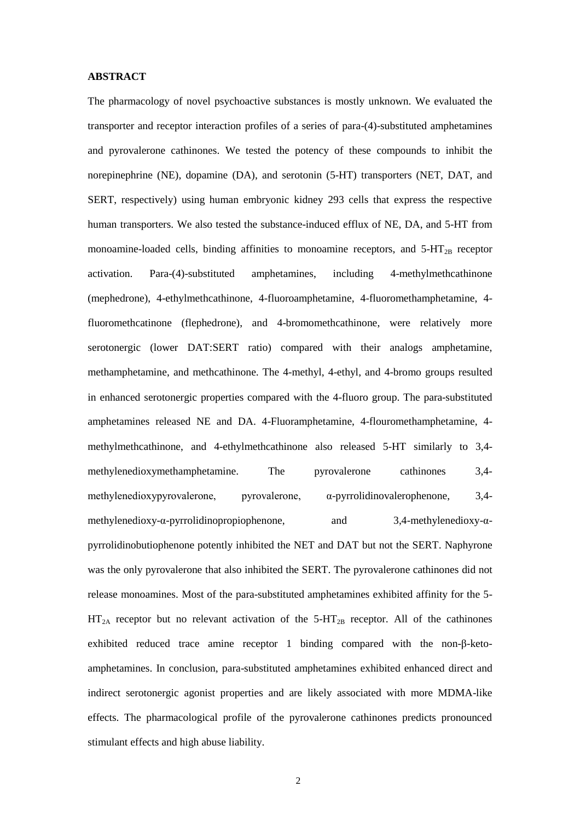#### **ABSTRACT**

The pharmacology of novel psychoactive substances is mostly unknown. We evaluated the transporter and receptor interaction profiles of a series of para-(4)-substituted amphetamines and pyrovalerone cathinones. We tested the potency of these compounds to inhibit the norepinephrine (NE), dopamine (DA), and serotonin (5-HT) transporters (NET, DAT, and SERT, respectively) using human embryonic kidney 293 cells that express the respective human transporters. We also tested the substance-induced efflux of NE, DA, and 5-HT from monoamine-loaded cells, binding affinities to monoamine receptors, and  $5-HT_{2B}$  receptor activation. Para-(4)-substituted amphetamines, including 4-methylmethcathinone (mephedrone), 4-ethylmethcathinone, 4-fluoroamphetamine, 4-fluoromethamphetamine, 4 fluoromethcatinone (flephedrone), and 4-bromomethcathinone, were relatively more serotonergic (lower DAT:SERT ratio) compared with their analogs amphetamine, methamphetamine, and methcathinone. The 4-methyl, 4-ethyl, and 4-bromo groups resulted in enhanced serotonergic properties compared with the 4-fluoro group. The para-substituted amphetamines released NE and DA. 4-Fluoramphetamine, 4-flouromethamphetamine, 4 methylmethcathinone, and 4-ethylmethcathinone also released 5-HT similarly to 3,4 methylenedioxymethamphetamine. The pyrovalerone cathinones 3,4methylenedioxypyrovalerone, pyrovalerone, α-pyrrolidinovalerophenone, 3,4 methylenedioxy-α-pyrrolidinopropiophenone, and 3,4-methylenedioxy-αpyrrolidinobutiophenone potently inhibited the NET and DAT but not the SERT. Naphyrone was the only pyrovalerone that also inhibited the SERT. The pyrovalerone cathinones did not release monoamines. Most of the para-substituted amphetamines exhibited affinity for the 5-  $HT<sub>2A</sub>$  receptor but no relevant activation of the 5-HT<sub>2B</sub> receptor. All of the cathinones exhibited reduced trace amine receptor 1 binding compared with the non-β-ketoamphetamines. In conclusion, para-substituted amphetamines exhibited enhanced direct and indirect serotonergic agonist properties and are likely associated with more MDMA-like effects. The pharmacological profile of the pyrovalerone cathinones predicts pronounced stimulant effects and high abuse liability.

2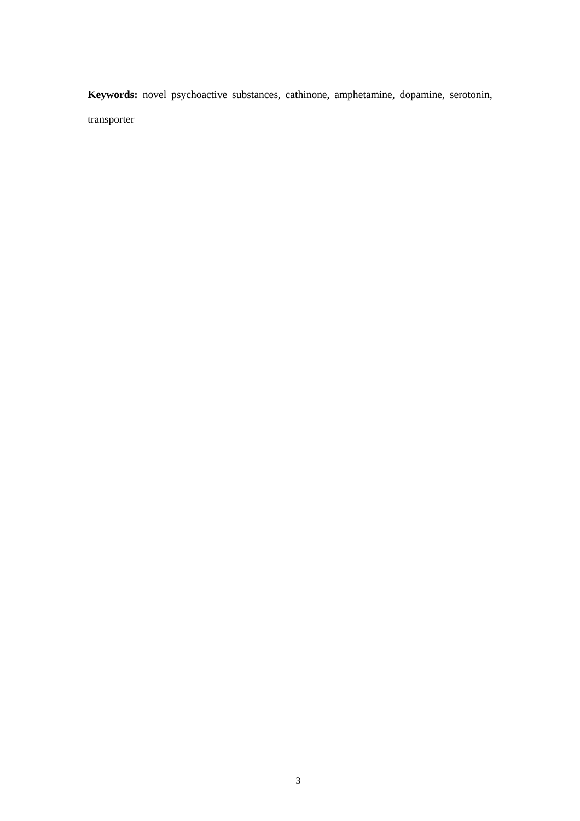**Keywords:** novel psychoactive substances, cathinone, amphetamine, dopamine, serotonin, transporter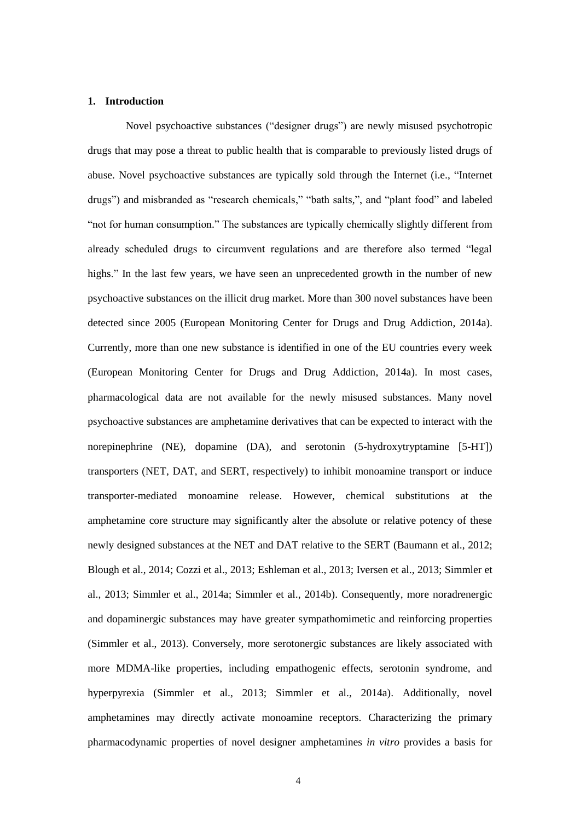# **1. Introduction**

Novel psychoactive substances ("designer drugs") are newly misused psychotropic drugs that may pose a threat to public health that is comparable to previously listed drugs of abuse. Novel psychoactive substances are typically sold through the Internet (i.e., "Internet drugs") and misbranded as "research chemicals," "bath salts,", and "plant food" and labeled "not for human consumption." The substances are typically chemically slightly different from already scheduled drugs to circumvent regulations and are therefore also termed "legal highs." In the last few years, we have seen an unprecedented growth in the number of new psychoactive substances on the illicit drug market. More than 300 novel substances have been detected since 2005 (European Monitoring Center for Drugs and Drug Addiction, 2014a). Currently, more than one new substance is identified in one of the EU countries every week [\(European Monitoring Center for Drugs and Drug Addiction, 2014a\)](#page-19-0). In most cases, pharmacological data are not available for the newly misused substances. Many novel psychoactive substances are amphetamine derivatives that can be expected to interact with the norepinephrine (NE), dopamine (DA), and serotonin (5-hydroxytryptamine [5-HT]) transporters (NET, DAT, and SERT, respectively) to inhibit monoamine transport or induce transporter-mediated monoamine release. However, chemical substitutions at the amphetamine core structure may significantly alter the absolute or relative potency of these newly designed substances at the NET and DAT relative to the SERT [\(Baumann et al., 2012;](#page-17-0) [Blough et al., 2014;](#page-18-0) [Cozzi et al., 2013;](#page-18-1) [Eshleman et al., 2013;](#page-19-1) [Iversen et al., 2013;](#page-20-0) [Simmler et](#page-21-0)  [al., 2013;](#page-21-0) [Simmler et al., 2014a;](#page-22-0) [Simmler et al., 2014b\)](#page-22-1). Consequently, more noradrenergic and dopaminergic substances may have greater sympathomimetic and reinforcing properties [\(Simmler et al., 2013\)](#page-21-0). Conversely, more serotonergic substances are likely associated with more MDMA-like properties, including empathogenic effects, serotonin syndrome, and hyperpyrexia [\(Simmler et al., 2013;](#page-21-0) [Simmler et al., 2014a\)](#page-22-0). Additionally, novel amphetamines may directly activate monoamine receptors. Characterizing the primary pharmacodynamic properties of novel designer amphetamines *in vitro* provides a basis for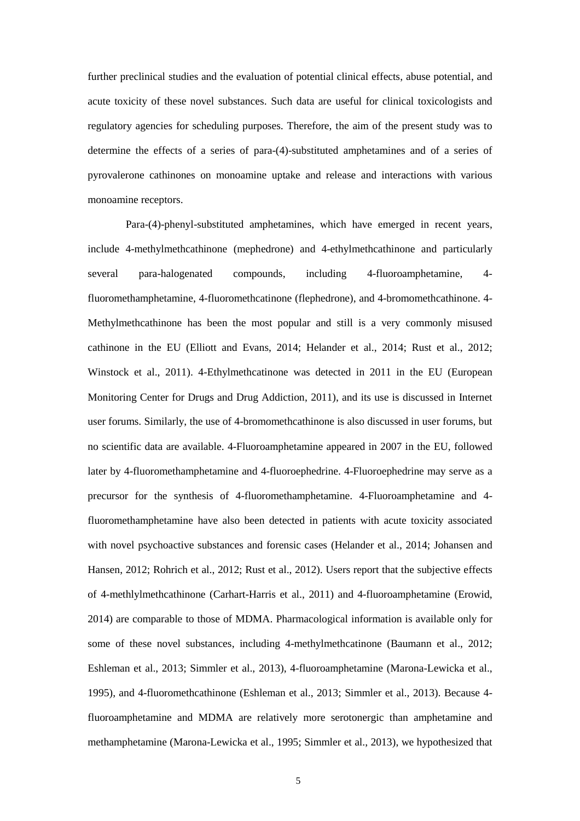further preclinical studies and the evaluation of potential clinical effects, abuse potential, and acute toxicity of these novel substances. Such data are useful for clinical toxicologists and regulatory agencies for scheduling purposes. Therefore, the aim of the present study was to determine the effects of a series of para-(4)-substituted amphetamines and of a series of pyrovalerone cathinones on monoamine uptake and release and interactions with various monoamine receptors.

Para-(4)-phenyl-substituted amphetamines, which have emerged in recent years, include 4-methylmethcathinone (mephedrone) and 4-ethylmethcathinone and particularly several para-halogenated compounds, including 4-fluoroamphetamine, 4 fluoromethamphetamine, 4-fluoromethcatinone (flephedrone), and 4-bromomethcathinone. 4- Methylmethcathinone has been the most popular and still is a very commonly misused cathinone in the EU [\(Elliott and Evans, 2014;](#page-19-2) [Helander et al., 2014;](#page-19-3) [Rust et al., 2012;](#page-21-1) [Winstock et al., 2011\)](#page-23-0). 4-Ethylmethcatinone was detected in 2011 in the EU [\(European](#page-19-4)  [Monitoring Center for Drugs and Drug Addiction, 2011\)](#page-19-4), and its use is discussed in Internet user forums. Similarly, the use of 4-bromomethcathinone is also discussed in user forums, but no scientific data are available. 4-Fluoroamphetamine appeared in 2007 in the EU, followed later by 4-fluoromethamphetamine and 4-fluoroephedrine. 4-Fluoroephedrine may serve as a precursor for the synthesis of 4-fluoromethamphetamine. 4-Fluoroamphetamine and 4 fluoromethamphetamine have also been detected in patients with acute toxicity associated with novel psychoactive substances and forensic cases [\(Helander et al., 2014;](#page-19-3) [Johansen and](#page-20-1)  [Hansen, 2012;](#page-20-1) Rohrich [et al., 2012;](#page-21-2) [Rust et al., 2012\)](#page-21-1). Users report that the subjective effects of 4-methlylmethcathinone [\(Carhart-Harris et al., 2011\)](#page-18-2) and 4-fluoroamphetamine [\(Erowid,](#page-19-5)  [2014\)](#page-19-5) are comparable to those of MDMA. Pharmacological information is available only for some of these novel substances, including 4-methylmethcatinone [\(Baumann et al., 2012;](#page-17-0) [Eshleman et al., 2013;](#page-19-1) [Simmler et al., 2013\)](#page-21-0), 4-fluoroamphetamine [\(Marona-Lewicka et al.,](#page-20-2)  [1995\)](#page-20-2), and 4-fluoromethcathinone [\(Eshleman et al., 2013;](#page-19-1) [Simmler et al., 2013\)](#page-21-0). Because 4 fluoroamphetamine and MDMA are relatively more serotonergic than amphetamine and methamphetamine [\(Marona-Lewicka et al., 1995;](#page-20-2) [Simmler et al., 2013\)](#page-21-0), we hypothesized that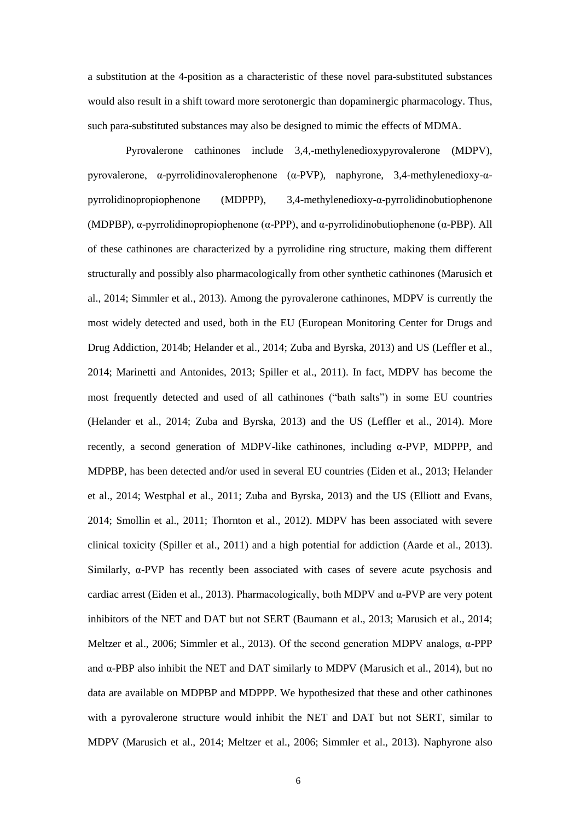a substitution at the 4-position as a characteristic of these novel para-substituted substances would also result in a shift toward more serotonergic than dopaminergic pharmacology. Thus, such para-substituted substances may also be designed to mimic the effects of MDMA.

Pyrovalerone cathinones include 3,4,-methylenedioxypyrovalerone (MDPV), pyrovalerone, α-pyrrolidinovalerophenone (α-PVP), naphyrone, 3,4-methylenedioxy-αpyrrolidinopropiophenone (MDPPP), 3,4-methylenedioxy-α-pyrrolidinobutiophenone (MDPBP), α-pyrrolidinopropiophenone (α-PPP), and α-pyrrolidinobutiophenone (α-PBP). All of these cathinones are characterized by a pyrrolidine ring structure, making them different structurally and possibly also pharmacologically from other synthetic cathinones [\(Marusich et](#page-20-3)  [al., 2014;](#page-20-3) [Simmler et al., 2013\)](#page-21-0). Among the pyrovalerone cathinones, MDPV is currently the most widely detected and used, both in the EU [\(European Monitoring Center for Drugs and](#page-19-6)  [Drug Addiction, 2014b;](#page-19-6) [Helander et al., 2014;](#page-19-3) [Zuba and Byrska, 2013\)](#page-23-1) and US [\(Leffler et al.,](#page-20-4)  [2014;](#page-20-4) [Marinetti and Antonides, 2013;](#page-20-5) [Spiller et al., 2011\)](#page-22-2). In fact, MDPV has become the most frequently detected and used of all cathinones ("bath salts") in some EU countries [\(Helander et al., 2014;](#page-19-3) [Zuba and Byrska, 2013\)](#page-23-1) and the US [\(Leffler et al., 2014\)](#page-20-4). More recently, a second generation of MDPV-like cathinones, including  $\alpha$ -PVP, MDPPP, and MDPBP, has been detected and/or used in several EU countries [\(Eiden et al., 2013;](#page-19-7) [Helander](#page-19-3)  [et al., 2014;](#page-19-3) [Westphal et al., 2011;](#page-23-2) [Zuba and Byrska, 2013\)](#page-23-1) and the US [\(Elliott and Evans,](#page-19-2)  [2014;](#page-19-2) [Smollin et al., 2011;](#page-22-3) [Thornton et al., 2012\)](#page-22-4). MDPV has been associated with severe clinical toxicity [\(Spiller et al., 2011\)](#page-22-2) and a high potential for addiction [\(Aarde et al., 2013\)](#page-17-1). Similarly, α-PVP has recently been associated with cases of severe acute psychosis and cardiac arrest [\(Eiden et al., 2013\)](#page-19-7). Pharmacologically, both MDPV and  $\alpha$ -PVP are very potent inhibitors of the NET and DAT but not SERT [\(Baumann et al., 2013;](#page-18-3) [Marusich et al., 2014;](#page-20-3) [Meltzer et al., 2006;](#page-21-3) [Simmler et al., 2013\)](#page-21-0). Of the second generation MDPV analogs, α-PPP and  $\alpha$ -PBP also inhibit the NET and DAT similarly to MDPV [\(Marusich et al., 2014\)](#page-20-3), but no data are available on MDPBP and MDPPP. We hypothesized that these and other cathinones with a pyrovalerone structure would inhibit the NET and DAT but not SERT, similar to MDPV [\(Marusich et al., 2014;](#page-20-3) [Meltzer et al., 2006;](#page-21-3) [Simmler et al.,](#page-21-0) 2013). Naphyrone also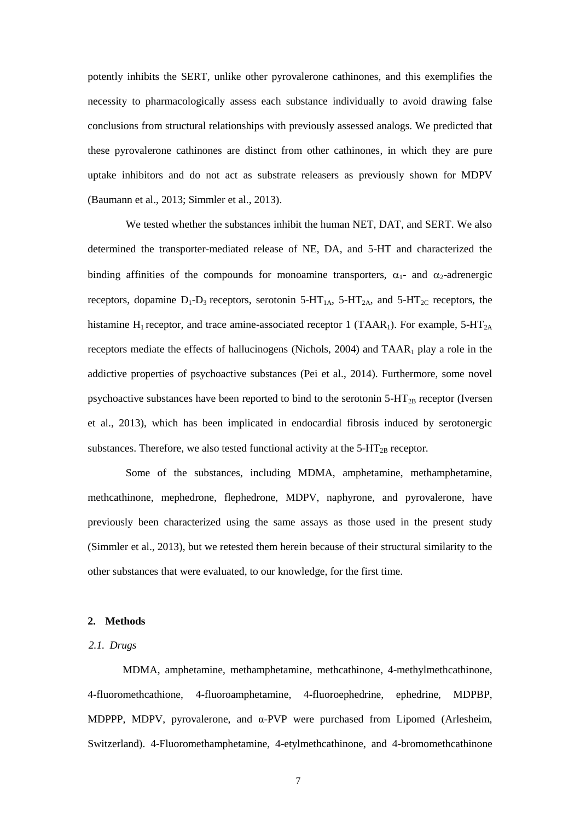potently inhibits the SERT, unlike other pyrovalerone cathinones, and this exemplifies the necessity to pharmacologically assess each substance individually to avoid drawing false conclusions from structural relationships with previously assessed analogs. We predicted that these pyrovalerone cathinones are distinct from other cathinones, in which they are pure uptake inhibitors and do not act as substrate releasers as previously shown for MDPV [\(Baumann et al., 2013;](#page-18-3) [Simmler et al., 2013\)](#page-21-0).

We tested whether the substances inhibit the human NET, DAT, and SERT. We also determined the transporter-mediated release of NE, DA, and 5-HT and characterized the binding affinities of the compounds for monoamine transporters,  $\alpha_1$ - and  $\alpha_2$ -adrenergic receptors, dopamine  $D_1$ - $D_3$  receptors, serotonin 5-HT<sub>1A</sub>, 5-HT<sub>2A</sub>, and 5-HT<sub>2C</sub> receptors, the histamine  $H_1$  receptor, and trace amine-associated receptor 1 (TAAR<sub>1</sub>). For example, 5-HT<sub>2A</sub> receptors mediate the effects of hallucinogens [\(Nichols, 2004\)](#page-21-4) and  $TAR_1$  play a role in the addictive properties of psychoactive substances [\(Pei et al., 2014\)](#page-21-5). Furthermore, some novel psychoactive substances have been reported to bind to the serotonin  $5-HT_{2B}$  receptor (Iversen [et al., 2013\)](#page-20-0), which has been implicated in endocardial fibrosis induced by serotonergic substances. Therefore, we also tested functional activity at the  $5-HT_{2B}$  receptor.

Some of the substances, including MDMA, amphetamine, methamphetamine, methcathinone, mephedrone, flephedrone, MDPV, naphyrone, and pyrovalerone, have previously been characterized using the same assays as those used in the present study [\(Simmler et al., 2013\)](#page-21-0), but we retested them herein because of their structural similarity to the other substances that were evaluated, to our knowledge, for the first time.

#### **2. Methods**

## *2.1. Drugs*

MDMA, amphetamine, methamphetamine, methcathinone, 4-methylmethcathinone, 4-fluoromethcathione, 4-fluoroamphetamine, 4-fluoroephedrine, ephedrine, MDPBP, MDPPP, MDPV, pyrovalerone, and α-PVP were purchased from Lipomed (Arlesheim, Switzerland). 4-Fluoromethamphetamine, 4-etylmethcathinone, and 4-bromomethcathinone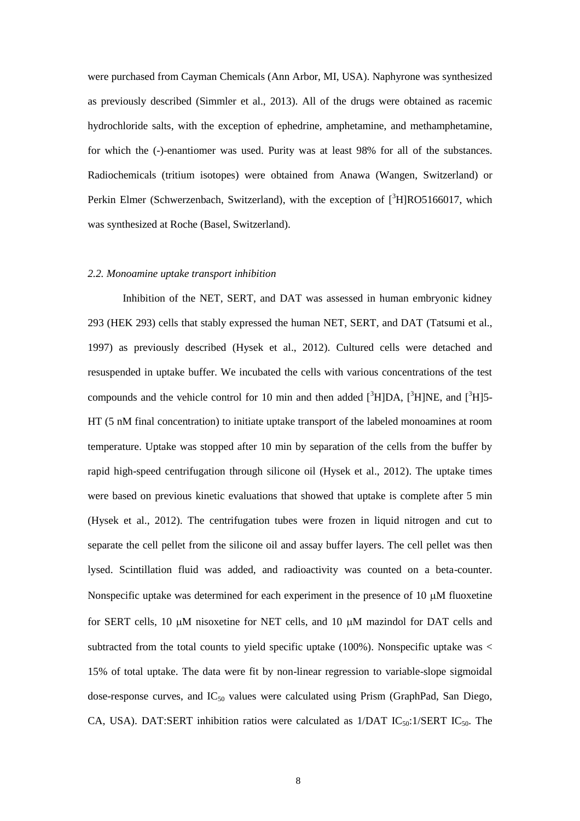were purchased from Cayman Chemicals (Ann Arbor, MI, USA). Naphyrone was synthesized as previously described [\(Simmler et al., 2013\)](#page-21-0). All of the drugs were obtained as racemic hydrochloride salts, with the exception of ephedrine, amphetamine, and methamphetamine, for which the (-)-enantiomer was used. Purity was at least 98% for all of the substances. Radiochemicals (tritium isotopes) were obtained from Anawa (Wangen, Switzerland) or Perkin Elmer (Schwerzenbach, Switzerland), with the exception of  $\int_{0}^{3}H|RO5166017$ , which was synthesized at Roche (Basel, Switzerland).

#### *2.2. Monoamine uptake transport inhibition*

Inhibition of the NET, SERT, and DAT was assessed in human embryonic kidney 293 (HEK 293) cells that stably expressed the human NET, SERT, and DAT [\(Tatsumi et al.,](#page-22-5)  [1997\)](#page-22-5) as previously described [\(Hysek et al., 2012\)](#page-19-8). Cultured cells were detached and resuspended in uptake buffer. We incubated the cells with various concentrations of the test compounds and the vehicle control for 10 min and then added  $[^{3}H]DA$ ,  $[^{3}H]NE$ , and  $[^{3}H]5$ -HT (5 nM final concentration) to initiate uptake transport of the labeled monoamines at room temperature. Uptake was stopped after 10 min by separation of the cells from the buffer by rapid high-speed centrifugation through silicone oil [\(Hysek et al., 2012\)](#page-19-8). The uptake times were based on previous kinetic evaluations that showed that uptake is complete after 5 min [\(Hysek et al., 2012\)](#page-19-8). The centrifugation tubes were frozen in liquid nitrogen and cut to separate the cell pellet from the silicone oil and assay buffer layers. The cell pellet was then lysed. Scintillation fluid was added, and radioactivity was counted on a beta-counter. Nonspecific uptake was determined for each experiment in the presence of  $10 \mu M$  fluoxetine for SERT cells, 10  $\mu$ M nisoxetine for NET cells, and 10  $\mu$ M mazindol for DAT cells and subtracted from the total counts to yield specific uptake  $(100\%)$ . Nonspecific uptake was  $\lt$ 15% of total uptake. The data were fit by non-linear regression to variable-slope sigmoidal dose-response curves, and  $IC_{50}$  values were calculated using Prism (GraphPad, San Diego, CA, USA). DAT:SERT inhibition ratios were calculated as  $1/DAT IC_{50}$ :  $1/SET IC_{50}$ . The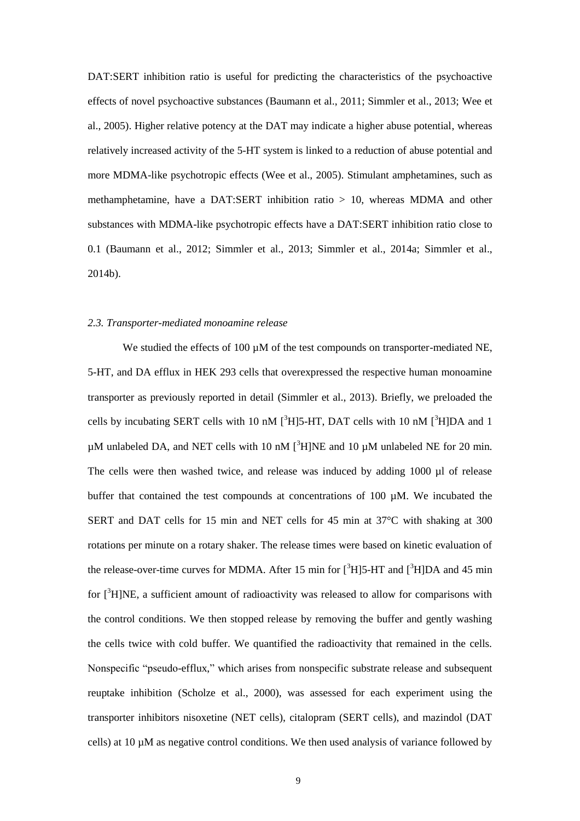DAT:SERT inhibition ratio is useful for predicting the characteristics of the psychoactive effects of novel psychoactive substances [\(Baumann et al., 2011;](#page-18-4) [Simmler et al., 2013;](#page-21-0) [Wee et](#page-22-6)  [al., 2005\)](#page-22-6). Higher relative potency at the DAT may indicate a higher abuse potential, whereas relatively increased activity of the 5-HT system is linked to a reduction of abuse potential and more MDMA-like psychotropic effects [\(Wee et al., 2005\)](#page-22-6). Stimulant amphetamines, such as methamphetamine, have a DAT:SERT inhibition ratio > 10, whereas MDMA and other substances with MDMA-like psychotropic effects have a DAT:SERT inhibition ratio close to 0.1 [\(Baumann et al., 2012;](#page-17-0) [Simmler et al., 2013;](#page-21-0) [Simmler et al., 2014a;](#page-22-0) [Simmler et al.,](#page-22-1)  [2014b\)](#page-22-1).

## *2.3. Transporter-mediated monoamine release*

We studied the effects of 100  $\mu$ M of the test compounds on transporter-mediated NE, 5-HT, and DA efflux in HEK 293 cells that overexpressed the respective human monoamine transporter as previously reported in detail [\(Simmler et al., 2013\)](#page-21-0). Briefly, we preloaded the cells by incubating SERT cells with 10 nM  $[^{3}H]5-HT$ , DAT cells with 10 nM  $[^{3}H]DA$  and 1  $\mu$ M unlabeled DA, and NET cells with 10 nM  $\int^3 H$ ]NE and 10  $\mu$ M unlabeled NE for 20 min. The cells were then washed twice, and release was induced by adding  $1000 \mu l$  of release buffer that contained the test compounds at concentrations of 100 µM. We incubated the SERT and DAT cells for 15 min and NET cells for 45 min at 37°C with shaking at 300 rotations per minute on a rotary shaker. The release times were based on kinetic evaluation of the release-over-time curves for MDMA. After 15 min for  $[^{3}H]$ 5-HT and  $[^{3}H]DA$  and 45 min for  $\int^3 H(NE)$ , a sufficient amount of radioactivity was released to allow for comparisons with the control conditions. We then stopped release by removing the buffer and gently washing the cells twice with cold buffer. We quantified the radioactivity that remained in the cells. Nonspecific "pseudo-efflux," which arises from nonspecific substrate release and subsequent reuptake inhibition [\(Scholze et al., 2000\)](#page-21-6), was assessed for each experiment using the transporter inhibitors nisoxetine (NET cells), citalopram (SERT cells), and mazindol (DAT cells) at 10 µM as negative control conditions. We then used analysis of variance followed by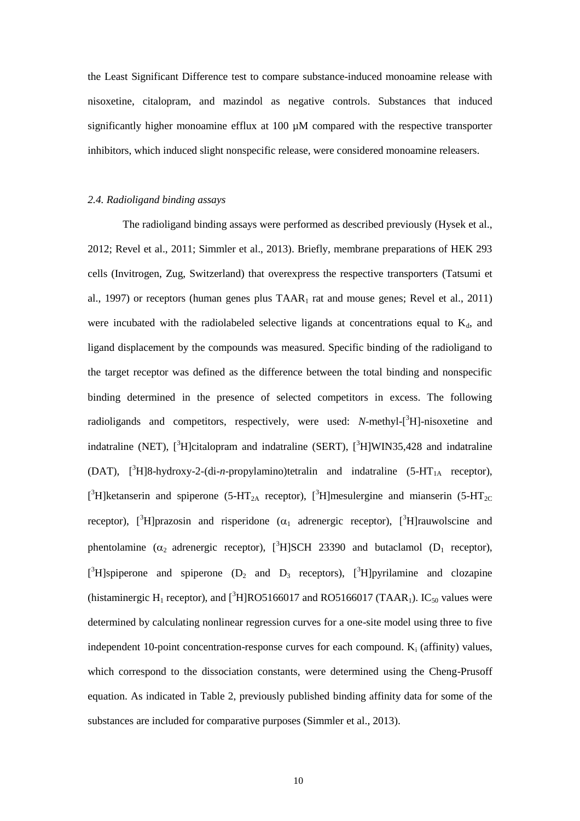the Least Significant Difference test to compare substance-induced monoamine release with nisoxetine, citalopram, and mazindol as negative controls. Substances that induced significantly higher monoamine efflux at  $100 \mu M$  compared with the respective transporter inhibitors, which induced slight nonspecific release, were considered monoamine releasers.

## *2.4. Radioligand binding assays*

The radioligand binding assays were performed as described previously [\(Hysek et al.,](#page-19-8)  [2012;](#page-19-8) [Revel et al., 2011;](#page-21-7) [Simmler et al., 2013\)](#page-21-0). Briefly, membrane preparations of HEK 293 cells (Invitrogen, Zug, Switzerland) that overexpress the respective transporters [\(Tatsumi et](#page-22-5)  [al., 1997\)](#page-22-5) or receptors (human genes plus  $TAAR<sub>1</sub>$  rat and mouse genes; [Revel et al., 2011\)](#page-21-7) were incubated with the radiolabeled selective ligands at concentrations equal to  $K_d$ , and ligand displacement by the compounds was measured. Specific binding of the radioligand to the target receptor was defined as the difference between the total binding and nonspecific binding determined in the presence of selected competitors in excess. The following radioligands and competitors, respectively, were used: *N*-methyl-[<sup>3</sup>H]-nisoxetine and indatraline (NET),  $\int^3 H$ ]citalopram and indatraline (SERT),  $\int^3 H$ ]WIN35,428 and indatraline (DAT), [<sup>3</sup>H]8-hydroxy-2-(di-*n*-propylamino)tetralin and indatraline (5-HT<sub>1A</sub> receptor), [<sup>3</sup>H]ketanserin and spiperone (5-HT<sub>2A</sub> receptor), [<sup>3</sup>H]mesulergine and mianserin (5-HT<sub>2C</sub>) receptor),  $\int^3 H$ ]prazosin and risperidone ( $\alpha_1$  adrenergic receptor),  $\int^3 H$ ]rauwolscine and phentolamine ( $\alpha_2$  adrenergic receptor), [<sup>3</sup>H]SCH 23390 and butaclamol ( $D_1$  receptor),  $[^3H]$ spiperone and spiperone (D<sub>2</sub> and D<sub>3</sub> receptors),  $[^3H]$ pyrilamine and clozapine (histaminergic H<sub>1</sub> receptor), and  $[^3H]$ RO5166017 and RO5166017 (TAAR<sub>1</sub>). IC<sub>50</sub> values were determined by calculating nonlinear regression curves for a one-site model using three to five independent 10-point concentration-response curves for each compound.  $K_i$  (affinity) values, which correspond to the dissociation constants, were determined using the Cheng-Prusoff equation. As indicated in Table 2, previously published binding affinity data for some of the substances are included for comparative purposes [\(Simmler et al., 2013\)](#page-21-0).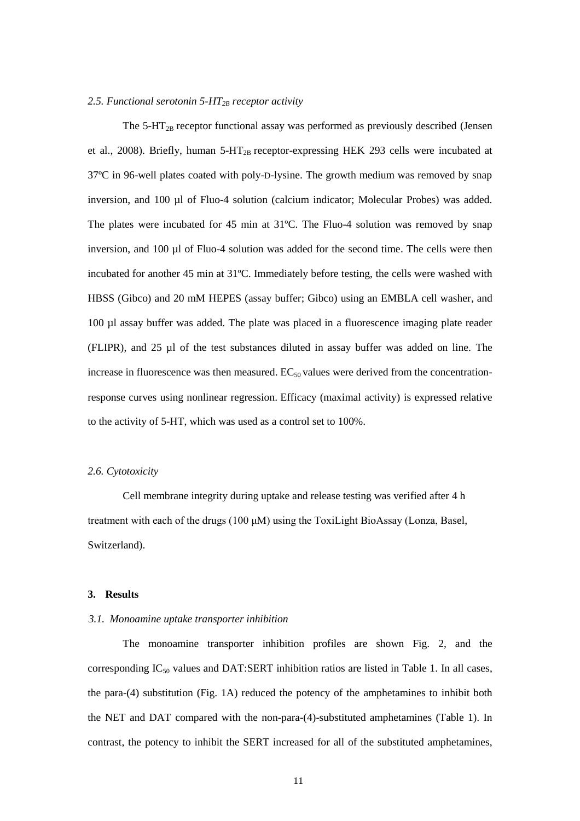## *2.5. Functional serotonin 5-HT2B receptor activity*

The  $5-\text{HT}_{2B}$  receptor functional assay was performed as previously described (Jensen [et al., 2008\)](#page-20-6). Briefly, human  $5-HT_{2B}$  receptor-expressing HEK 293 cells were incubated at 37ºC in 96-well plates coated with poly-D-lysine. The growth medium was removed by snap inversion, and 100 µl of Fluo-4 solution (calcium indicator; Molecular Probes) was added. The plates were incubated for 45 min at 31ºC. The Fluo-4 solution was removed by snap inversion, and 100 µl of Fluo-4 solution was added for the second time. The cells were then incubated for another 45 min at 31ºC. Immediately before testing, the cells were washed with HBSS (Gibco) and 20 mM HEPES (assay buffer; Gibco) using an EMBLA cell washer, and 100 µl assay buffer was added. The plate was placed in a fluorescence imaging plate reader (FLIPR), and 25 µl of the test substances diluted in assay buffer was added on line. The increase in fluorescence was then measured.  $EC_{50}$  values were derived from the concentrationresponse curves using nonlinear regression. Efficacy (maximal activity) is expressed relative to the activity of 5-HT, which was used as a control set to 100%.

## *2.6. Cytotoxicity*

Cell membrane integrity during uptake and release testing was verified after 4 h treatment with each of the drugs (100 μM) using the ToxiLight BioAssay (Lonza, Basel, Switzerland).

# **3. Results**

### *3.1. Monoamine uptake transporter inhibition*

The monoamine transporter inhibition profiles are shown Fig. 2, and the corresponding IC<sub>50</sub> values and DAT:SERT inhibition ratios are listed in Table 1. In all cases, the para-(4) substitution (Fig. 1A) reduced the potency of the amphetamines to inhibit both the NET and DAT compared with the non-para-(4)-substituted amphetamines (Table 1). In contrast, the potency to inhibit the SERT increased for all of the substituted amphetamines,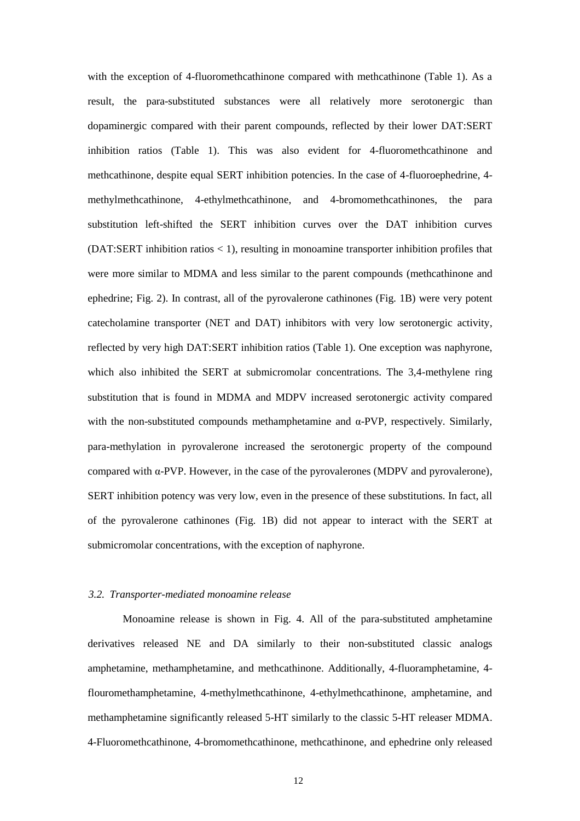with the exception of 4-fluoromethcathinone compared with methcathinone (Table 1). As a result, the para-substituted substances were all relatively more serotonergic than dopaminergic compared with their parent compounds, reflected by their lower DAT:SERT inhibition ratios (Table 1). This was also evident for 4-fluoromethcathinone and methcathinone, despite equal SERT inhibition potencies. In the case of 4-fluoroephedrine, 4 methylmethcathinone, 4-ethylmethcathinone, and 4-bromomethcathinones, the para substitution left-shifted the SERT inhibition curves over the DAT inhibition curves (DAT:SERT inhibition ratios < 1), resulting in monoamine transporter inhibition profiles that were more similar to MDMA and less similar to the parent compounds (methcathinone and ephedrine; Fig. 2). In contrast, all of the pyrovalerone cathinones (Fig. 1B) were very potent catecholamine transporter (NET and DAT) inhibitors with very low serotonergic activity, reflected by very high DAT:SERT inhibition ratios (Table 1). One exception was naphyrone, which also inhibited the SERT at submicromolar concentrations. The 3,4-methylene ring substitution that is found in MDMA and MDPV increased serotonergic activity compared with the non-substituted compounds methamphetamine and  $\alpha$ -PVP, respectively. Similarly, para-methylation in pyrovalerone increased the serotonergic property of the compound compared with α-PVP. However, in the case of the pyrovalerones (MDPV and pyrovalerone), SERT inhibition potency was very low, even in the presence of these substitutions. In fact, all of the pyrovalerone cathinones (Fig. 1B) did not appear to interact with the SERT at submicromolar concentrations, with the exception of naphyrone.

### *3.2. Transporter-mediated monoamine release*

Monoamine release is shown in Fig. 4. All of the para-substituted amphetamine derivatives released NE and DA similarly to their non-substituted classic analogs amphetamine, methamphetamine, and methcathinone. Additionally, 4-fluoramphetamine, 4 flouromethamphetamine, 4-methylmethcathinone, 4-ethylmethcathinone, amphetamine, and methamphetamine significantly released 5-HT similarly to the classic 5-HT releaser MDMA. 4-Fluoromethcathinone, 4-bromomethcathinone, methcathinone, and ephedrine only released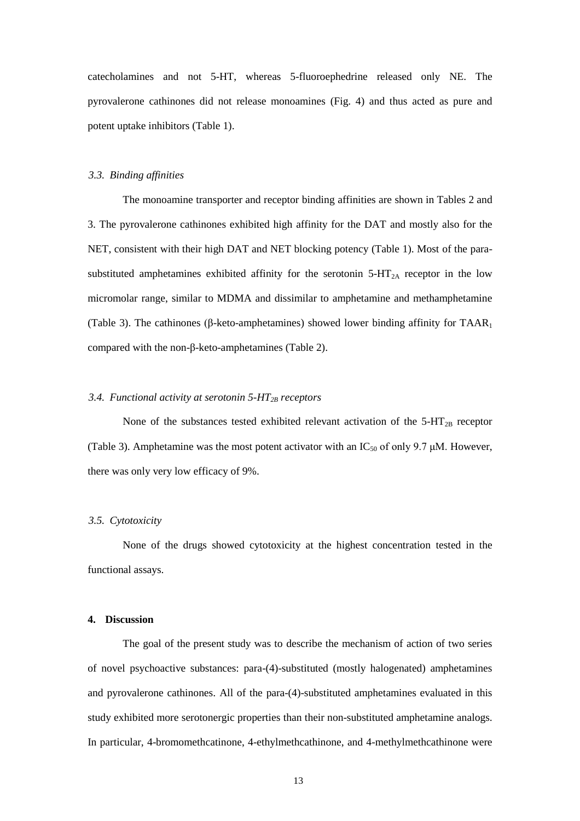catecholamines and not 5-HT, whereas 5-fluoroephedrine released only NE. The pyrovalerone cathinones did not release monoamines (Fig. 4) and thus acted as pure and potent uptake inhibitors (Table 1).

## *3.3. Binding affinities*

The monoamine transporter and receptor binding affinities are shown in Tables 2 and 3. The pyrovalerone cathinones exhibited high affinity for the DAT and mostly also for the NET, consistent with their high DAT and NET blocking potency (Table 1). Most of the parasubstituted amphetamines exhibited affinity for the serotonin  $5-HT_{2A}$  receptor in the low micromolar range, similar to MDMA and dissimilar to amphetamine and methamphetamine (Table 3). The cathinones (β-keto-amphetamines) showed lower binding affinity for TAAR<sub>1</sub> compared with the non-β-keto-amphetamines (Table 2).

## *3.4. Functional activity at serotonin 5-HT2B receptors*

None of the substances tested exhibited relevant activation of the  $5-HT_{2B}$  receptor (Table 3). Amphetamine was the most potent activator with an  $IC_{50}$  of only 9.7 µM. However, there was only very low efficacy of 9%.

## *3.5. Cytotoxicity*

None of the drugs showed cytotoxicity at the highest concentration tested in the functional assays.

## **4. Discussion**

The goal of the present study was to describe the mechanism of action of two series of novel psychoactive substances: para-(4)-substituted (mostly halogenated) amphetamines and pyrovalerone cathinones. All of the para-(4)-substituted amphetamines evaluated in this study exhibited more serotonergic properties than their non-substituted amphetamine analogs. In particular, 4-bromomethcatinone, 4-ethylmethcathinone, and 4-methylmethcathinone were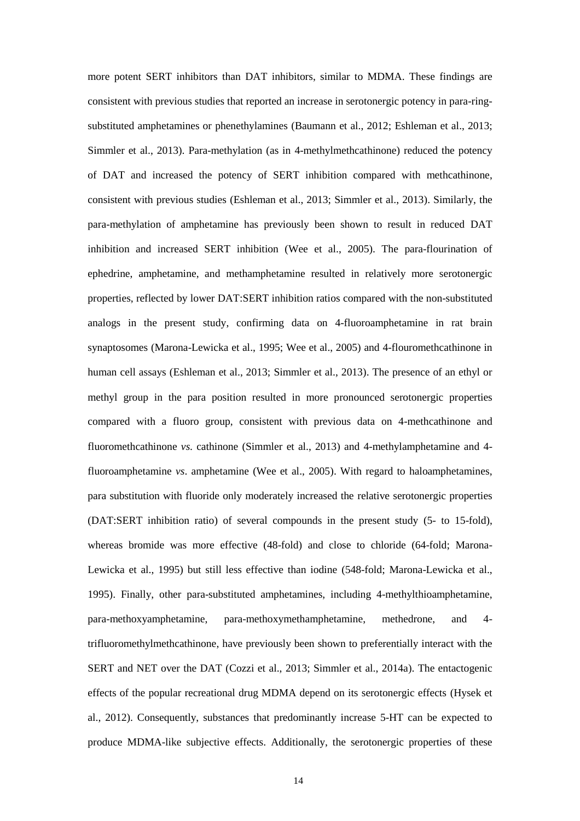more potent SERT inhibitors than DAT inhibitors, similar to MDMA. These findings are consistent with previous studies that reported an increase in serotonergic potency in para-ringsubstituted amphetamines or phenethylamines [\(Baumann et al., 2012;](#page-17-0) [Eshleman et al., 2013;](#page-19-1) [Simmler et al., 2013\)](#page-21-0). Para-methylation (as in 4-methylmethcathinone) reduced the potency of DAT and increased the potency of SERT inhibition compared with methcathinone, consistent with previous studies [\(Eshleman et al., 2013;](#page-19-1) [Simmler et al., 2013\)](#page-21-0). Similarly, the para-methylation of amphetamine has previously been shown to result in reduced DAT inhibition and increased SERT inhibition [\(Wee et al., 2005\)](#page-22-6). The para-flourination of ephedrine, amphetamine, and methamphetamine resulted in relatively more serotonergic properties, reflected by lower DAT:SERT inhibition ratios compared with the non-substituted analogs in the present study, confirming data on 4-fluoroamphetamine in rat brain synaptosomes [\(Marona-Lewicka et al., 1995;](#page-20-2) [Wee et al., 2005\)](#page-22-6) and 4-flouromethcathinone in human cell assays [\(Eshleman et al., 2013;](#page-19-1) [Simmler et al., 2013\)](#page-21-0). The presence of an ethyl or methyl group in the para position resulted in more pronounced serotonergic properties compared with a fluoro group, consistent with previous data on 4-methcathinone and fluoromethcathinone *vs*. cathinone [\(Simmler et al., 2013\)](#page-21-0) and 4-methylamphetamine and 4 fluoroamphetamine *vs*. amphetamine [\(Wee et al., 2005\)](#page-22-6). With regard to haloamphetamines, para substitution with fluoride only moderately increased the relative serotonergic properties (DAT:SERT inhibition ratio) of several compounds in the present study (5- to 15-fold), whereas bromide was more effective (48-fold) and close to chloride (64-fold; [Marona-](#page-20-2)[Lewicka et al., 1995\)](#page-20-2) but still less effective than iodine (548-fold; [Marona-Lewicka et al.,](#page-20-2)  [1995\)](#page-20-2). Finally, other para-substituted amphetamines, including 4-methylthioamphetamine, para-methoxyamphetamine, para-methoxymethamphetamine, methedrone, and 4 trifluoromethylmethcathinone, have previously been shown to preferentially interact with the SERT and NET over the DAT [\(Cozzi et al., 2013;](#page-18-1) [Simmler et al., 2014a\)](#page-22-0). The entactogenic effects of the popular recreational drug MDMA depend on its serotonergic effects [\(Hysek et](#page-19-8)  [al., 2012\)](#page-19-8). Consequently, substances that predominantly increase 5-HT can be expected to produce MDMA-like subjective effects. Additionally, the serotonergic properties of these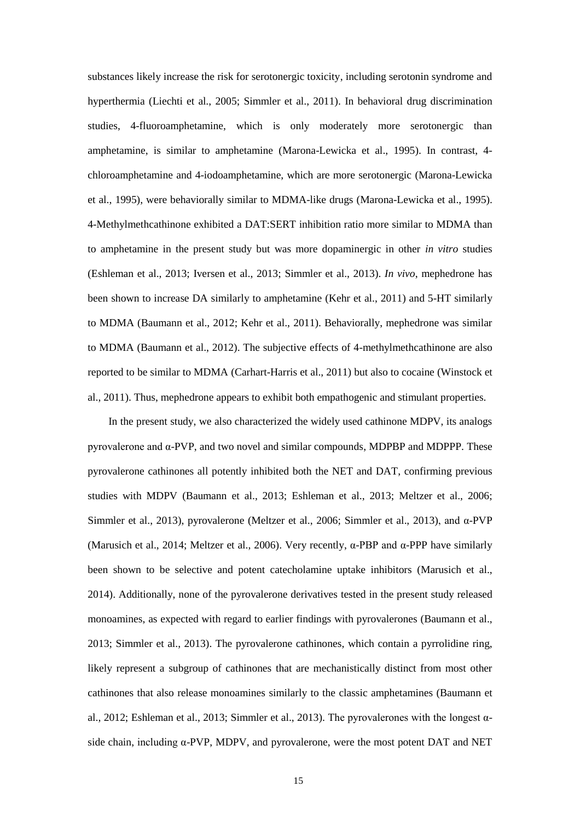substances likely increase the risk for serotonergic toxicity, including serotonin syndrome and hyperthermia [\(Liechti et al., 2005;](#page-20-7) [Simmler et al., 2011\)](#page-22-7). In behavioral drug discrimination studies, 4-fluoroamphetamine, which is only moderately more serotonergic than amphetamine, is similar to amphetamine [\(Marona-Lewicka et al., 1995\)](#page-20-2). In contrast, 4 chloroamphetamine and 4-iodoamphetamine, which are more serotonergic [\(Marona-Lewicka](#page-20-2)  [et al., 1995\)](#page-20-2), were behaviorally similar to MDMA-like drugs [\(Marona-Lewicka et al., 1995\)](#page-20-2). 4-Methylmethcathinone exhibited a DAT:SERT inhibition ratio more similar to MDMA than to amphetamine in the present study but was more dopaminergic in other *in vitro* studies [\(Eshleman et al., 2013;](#page-19-1) [Iversen et al., 2013;](#page-20-0) [Simmler et al., 2013\)](#page-21-0). *In vivo*, mephedrone has been shown to increase DA similarly to amphetamine [\(Kehr et al., 2011\)](#page-20-8) and 5-HT similarly to MDMA [\(Baumann et al., 2012;](#page-17-0) [Kehr et al., 2011\)](#page-20-8). Behaviorally, mephedrone was similar to MDMA [\(Baumann et al., 2012\)](#page-17-0). The subjective effects of 4-methylmethcathinone are also reported to be similar to MDMA [\(Carhart-Harris et al., 2011\)](#page-18-2) but also to cocaine [\(Winstock et](#page-23-0)  [al., 2011\)](#page-23-0). Thus, mephedrone appears to exhibit both empathogenic and stimulant properties.

In the present study, we also characterized the widely used cathinone MDPV, its analogs pyrovalerone and α-PVP, and two novel and similar compounds, MDPBP and MDPPP. These pyrovalerone cathinones all potently inhibited both the NET and DAT, confirming previous studies with MDPV [\(Baumann et al., 2013;](#page-18-3) [Eshleman et al., 2013;](#page-19-1) [Meltzer et al., 2006;](#page-21-3) [Simmler et al., 2013\)](#page-21-0), pyrovalerone [\(Meltzer et al., 2006;](#page-21-3) [Simmler et al., 2013\)](#page-21-0), and α-PVP [\(Marusich et al., 2014;](#page-20-3) [Meltzer et al., 2006\)](#page-21-3). Very recently, α-PBP and α-PPP have similarly been shown to be selective and potent catecholamine uptake inhibitors [\(Marusich et al.,](#page-20-3)  [2014\)](#page-20-3). Additionally, none of the pyrovalerone derivatives tested in the present study released monoamines, as expected with regard to earlier findings with pyrovalerones [\(Baumann et al.,](#page-18-3)  [2013;](#page-18-3) [Simmler et al., 2013\)](#page-21-0). The pyrovalerone cathinones, which contain a pyrrolidine ring, likely represent a subgroup of cathinones that are mechanistically distinct from most other cathinones that also release monoamines similarly to the classic amphetamines [\(Baumann et](#page-17-0)  [al., 2012;](#page-17-0) [Eshleman et al., 2013;](#page-19-1) [Simmler et al., 2013\)](#page-21-0). The pyrovalerones with the longest αside chain, including α-PVP, MDPV, and pyrovalerone, were the most potent DAT and NET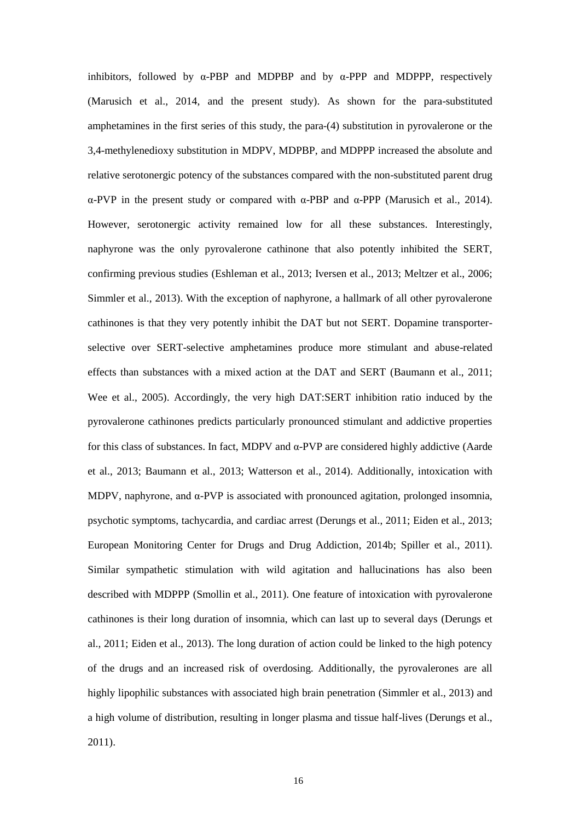inhibitors, followed by  $\alpha$ -PBP and MDPBP and by  $\alpha$ -PPP and MDPPP, respectively [\(Marusich et al., 2014,](#page-20-3) and the present study). As shown for the para-substituted amphetamines in the first series of this study, the para-(4) substitution in pyrovalerone or the 3,4-methylenedioxy substitution in MDPV, MDPBP, and MDPPP increased the absolute and relative serotonergic potency of the substances compared with the non-substituted parent drug α-PVP in the present study or compared with α-PBP and α-PPP [\(Marusich et al., 2014\)](#page-20-3). However, serotonergic activity remained low for all these substances. Interestingly, naphyrone was the only pyrovalerone cathinone that also potently inhibited the SERT, confirming previous studies [\(Eshleman et al., 2013;](#page-19-1) [Iversen et al., 2013;](#page-20-0) [Meltzer et al., 2006;](#page-21-3) [Simmler et al., 2013\)](#page-21-0). With the exception of naphyrone, a hallmark of all other pyrovalerone cathinones is that they very potently inhibit the DAT but not SERT. Dopamine transporterselective over SERT-selective amphetamines produce more stimulant and abuse-related effects than substances with a mixed action at the DAT and SERT [\(Baumann et al., 2011;](#page-18-4) [Wee et al., 2005\)](#page-22-6). Accordingly, the very high DAT:SERT inhibition ratio induced by the pyrovalerone cathinones predicts particularly pronounced stimulant and addictive properties for this class of substances. In fact, MDPV and α-PVP are considered highly addictive [\(Aarde](#page-17-1)  [et al., 2013;](#page-17-1) [Baumann et al., 2013;](#page-18-3) [Watterson et al., 2014\)](#page-22-8). Additionally, intoxication with MDPV, naphyrone, and  $\alpha$ -PVP is associated with pronounced agitation, prolonged insomnia, psychotic symptoms, tachycardia, and cardiac arrest [\(Derungs et al., 2011;](#page-18-5) [Eiden et al., 2013;](#page-19-7) [European Monitoring Center for Drugs and Drug Addiction, 2014b;](#page-19-6) [Spiller et al., 2011\)](#page-22-2). Similar sympathetic stimulation with wild agitation and hallucinations has also been described with MDPPP [\(Smollin et al., 2011\)](#page-22-3). One feature of intoxication with pyrovalerone cathinones is their long duration of insomnia, which can last up to several days [\(Derungs et](#page-18-5)  [al., 2011;](#page-18-5) [Eiden et al.,](#page-19-7) 2013). The long duration of action could be linked to the high potency of the drugs and an increased risk of overdosing. Additionally, the pyrovalerones are all highly lipophilic substances with associated high brain penetration [\(Simmler et al., 2013\)](#page-21-0) and a high volume of distribution, resulting in longer plasma and tissue half-lives [\(Derungs et al.,](#page-18-5)  [2011\)](#page-18-5).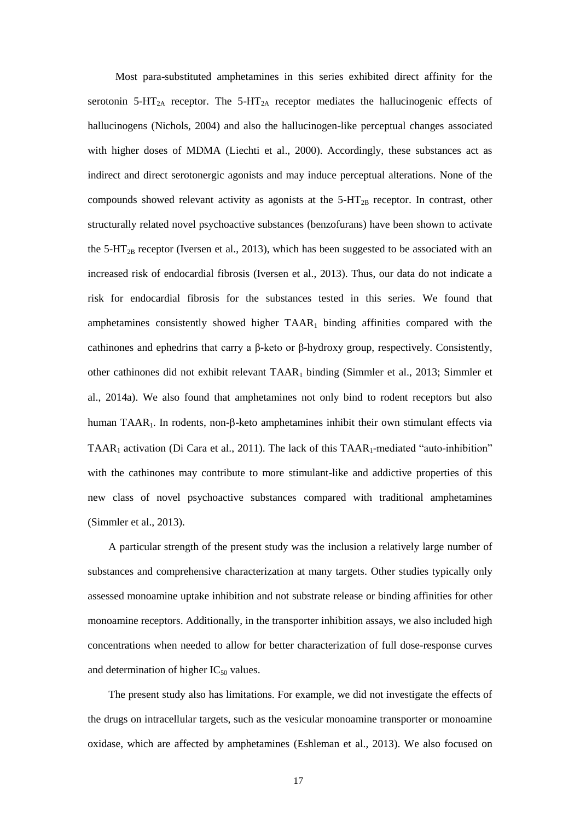Most para-substituted amphetamines in this series exhibited direct affinity for the serotonin  $5-HT_{2A}$  receptor. The  $5-HT_{2A}$  receptor mediates the hallucinogenic effects of hallucinogens [\(Nichols, 2004\)](#page-21-4) and also the hallucinogen-like perceptual changes associated with higher doses of MDMA [\(Liechti et al., 2000\)](#page-20-9). Accordingly, these substances act as indirect and direct serotonergic agonists and may induce perceptual alterations. None of the compounds showed relevant activity as agonists at the  $5-HT_{2B}$  receptor. In contrast, other structurally related novel psychoactive substances (benzofurans) have been shown to activate the  $5-\text{HT}_{2B}$  receptor [\(Iversen et al., 2013\)](#page-20-0), which has been suggested to be associated with an increased risk of endocardial fibrosis [\(Iversen et al., 2013\)](#page-20-0). Thus, our data do not indicate a risk for endocardial fibrosis for the substances tested in this series. We found that amphetamines consistently showed higher  $TAAR<sub>1</sub>$  binding affinities compared with the cathinones and ephedrins that carry a β-keto or β-hydroxy group, respectively. Consistently, other cathinones did not exhibit relevant TAAR<sup>1</sup> binding [\(Simmler et al., 2013;](#page-21-0) [Simmler et](#page-22-0)  [al., 2014a\)](#page-22-0). We also found that amphetamines not only bind to rodent receptors but also human TAAR<sub>1</sub>. In rodents, non- $\beta$ -keto amphetamines inhibit their own stimulant effects via TAAR<sub>1</sub> activation [\(Di Cara et al., 2011\)](#page-18-6). The lack of this TAAR<sub>1</sub>-mediated "auto-inhibition" with the cathinones may contribute to more stimulant-like and addictive properties of this new class of novel psychoactive substances compared with traditional amphetamines [\(Simmler et al., 2013\)](#page-21-0).

A particular strength of the present study was the inclusion a relatively large number of substances and comprehensive characterization at many targets. Other studies typically only assessed monoamine uptake inhibition and not substrate release or binding affinities for other monoamine receptors. Additionally, in the transporter inhibition assays, we also included high concentrations when needed to allow for better characterization of full dose-response curves and determination of higher  $IC_{50}$  values.

The present study also has limitations. For example, we did not investigate the effects of the drugs on intracellular targets, such as the vesicular monoamine transporter or monoamine oxidase, which are affected by amphetamines [\(Eshleman et al., 2013\)](#page-19-1). We also focused on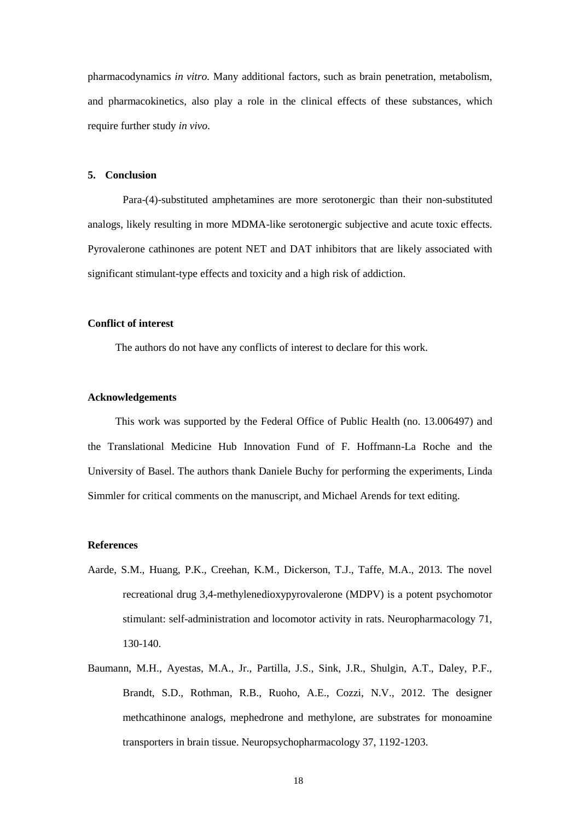pharmacodynamics *in vitro*. Many additional factors, such as brain penetration, metabolism, and pharmacokinetics, also play a role in the clinical effects of these substances, which require further study *in vivo*.

# **5. Conclusion**

Para-(4)-substituted amphetamines are more serotonergic than their non-substituted analogs, likely resulting in more MDMA-like serotonergic subjective and acute toxic effects. Pyrovalerone cathinones are potent NET and DAT inhibitors that are likely associated with significant stimulant-type effects and toxicity and a high risk of addiction.

## **Conflict of interest**

The authors do not have any conflicts of interest to declare for this work.

## **Acknowledgements**

This work was supported by the Federal Office of Public Health (no. 13.006497) and the Translational Medicine Hub Innovation Fund of F. Hoffmann-La Roche and the University of Basel. The authors thank Daniele Buchy for performing the experiments, Linda Simmler for critical comments on the manuscript, and Michael Arends for text editing.

## **References**

- <span id="page-17-1"></span>Aarde, S.M., Huang, P.K., Creehan, K.M., Dickerson, T.J., Taffe, M.A., 2013. The novel recreational drug 3,4-methylenedioxypyrovalerone (MDPV) is a potent psychomotor stimulant: self-administration and locomotor activity in rats. Neuropharmacology 71, 130-140.
- <span id="page-17-0"></span>Baumann, M.H., Ayestas, M.A., Jr., Partilla, J.S., Sink, J.R., Shulgin, A.T., Daley, P.F., Brandt, S.D., Rothman, R.B., Ruoho, A.E., Cozzi, N.V., 2012. The designer methcathinone analogs, mephedrone and methylone, are substrates for monoamine transporters in brain tissue. Neuropsychopharmacology 37, 1192-1203.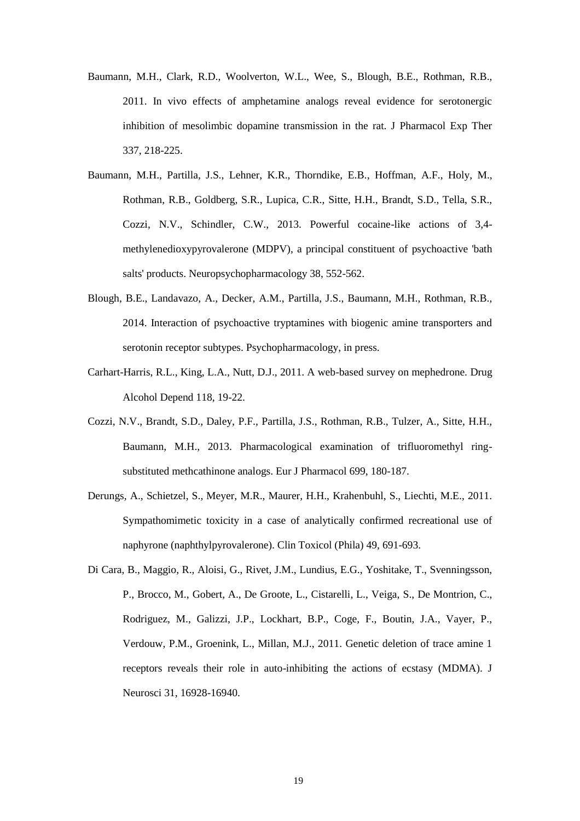- <span id="page-18-4"></span>Baumann, M.H., Clark, R.D., Woolverton, W.L., Wee, S., Blough, B.E., Rothman, R.B., 2011. In vivo effects of amphetamine analogs reveal evidence for serotonergic inhibition of mesolimbic dopamine transmission in the rat. J Pharmacol Exp Ther 337, 218-225.
- <span id="page-18-3"></span>Baumann, M.H., Partilla, J.S., Lehner, K.R., Thorndike, E.B., Hoffman, A.F., Holy, M., Rothman, R.B., Goldberg, S.R., Lupica, C.R., Sitte, H.H., Brandt, S.D., Tella, S.R., Cozzi, N.V., Schindler, C.W., 2013. Powerful cocaine-like actions of 3,4 methylenedioxypyrovalerone (MDPV), a principal constituent of psychoactive 'bath salts' products. Neuropsychopharmacology 38, 552-562.
- <span id="page-18-0"></span>Blough, B.E., Landavazo, A., Decker, A.M., Partilla, J.S., Baumann, M.H., Rothman, R.B., 2014. Interaction of psychoactive tryptamines with biogenic amine transporters and serotonin receptor subtypes. Psychopharmacology, in press.
- <span id="page-18-2"></span>Carhart-Harris, R.L., King, L.A., Nutt, D.J., 2011. A web-based survey on mephedrone. Drug Alcohol Depend 118, 19-22.
- <span id="page-18-1"></span>Cozzi, N.V., Brandt, S.D., Daley, P.F., Partilla, J.S., Rothman, R.B., Tulzer, A., Sitte, H.H., Baumann, M.H., 2013. Pharmacological examination of trifluoromethyl ringsubstituted methcathinone analogs. Eur J Pharmacol 699, 180-187.
- <span id="page-18-5"></span>Derungs, A., Schietzel, S., Meyer, M.R., Maurer, H.H., Krahenbuhl, S., Liechti, M.E., 2011. Sympathomimetic toxicity in a case of analytically confirmed recreational use of naphyrone (naphthylpyrovalerone). Clin Toxicol (Phila) 49, 691-693.
- <span id="page-18-6"></span>Di Cara, B., Maggio, R., Aloisi, G., Rivet, J.M., Lundius, E.G., Yoshitake, T., Svenningsson, P., Brocco, M., Gobert, A., De Groote, L., Cistarelli, L., Veiga, S., De Montrion, C., Rodriguez, M., Galizzi, J.P., Lockhart, B.P., Coge, F., Boutin, J.A., Vayer, P., Verdouw, P.M., Groenink, L., Millan, M.J., 2011. Genetic deletion of trace amine 1 receptors reveals their role in auto-inhibiting the actions of ecstasy (MDMA). J Neurosci 31, 16928-16940.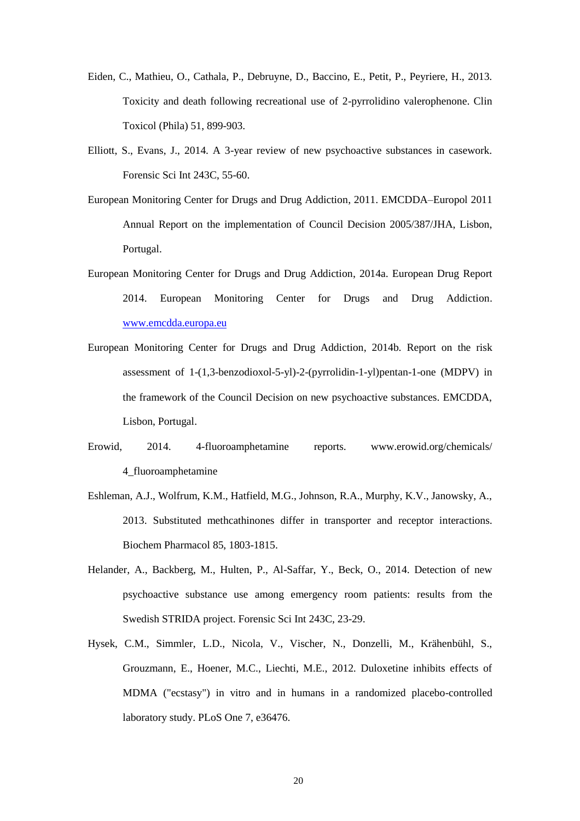- <span id="page-19-7"></span>Eiden, C., Mathieu, O., Cathala, P., Debruyne, D., Baccino, E., Petit, P., Peyriere, H., 2013. Toxicity and death following recreational use of 2-pyrrolidino valerophenone. Clin Toxicol (Phila) 51, 899-903.
- <span id="page-19-2"></span>Elliott, S., Evans, J., 2014. A 3-year review of new psychoactive substances in casework. Forensic Sci Int 243C, 55-60.
- <span id="page-19-4"></span>European Monitoring Center for Drugs and Drug Addiction, 2011. EMCDDA–Europol 2011 Annual Report on the implementation of Council Decision 2005/387/JHA, Lisbon, Portugal.
- <span id="page-19-0"></span>European Monitoring Center for Drugs and Drug Addiction, 2014a. European Drug Report 2014. European Monitoring Center for Drugs and Drug Addiction. [www.emcdda.europa.eu](http://www.emcdda.europa.eu/)
- <span id="page-19-6"></span>European Monitoring Center for Drugs and Drug Addiction, 2014b. Report on the risk assessment of 1-(1,3-benzodioxol-5-yl)-2-(pyrrolidin-1-yl)pentan-1-one (MDPV) in the framework of the Council Decision on new psychoactive substances. EMCDDA, Lisbon, Portugal.
- <span id="page-19-5"></span>Erowid, 2014. 4-fluoroamphetamine reports. www.erowid.org/chemicals/ 4\_fluoroamphetamine
- <span id="page-19-1"></span>Eshleman, A.J., Wolfrum, K.M., Hatfield, M.G., Johnson, R.A., Murphy, K.V., Janowsky, A., 2013. Substituted methcathinones differ in transporter and receptor interactions. Biochem Pharmacol 85, 1803-1815.
- <span id="page-19-3"></span>Helander, A., Backberg, M., Hulten, P., Al-Saffar, Y., Beck, O., 2014. Detection of new psychoactive substance use among emergency room patients: results from the Swedish STRIDA project. Forensic Sci Int 243C, 23-29.
- <span id="page-19-8"></span>Hysek, C.M., Simmler, L.D., Nicola, V., Vischer, N., Donzelli, M., Krähenbühl, S., Grouzmann, E., Hoener, M.C., Liechti, M.E., 2012. Duloxetine inhibits effects of MDMA ("ecstasy") in vitro and in humans in a randomized placebo-controlled laboratory study. PLoS One 7, e36476.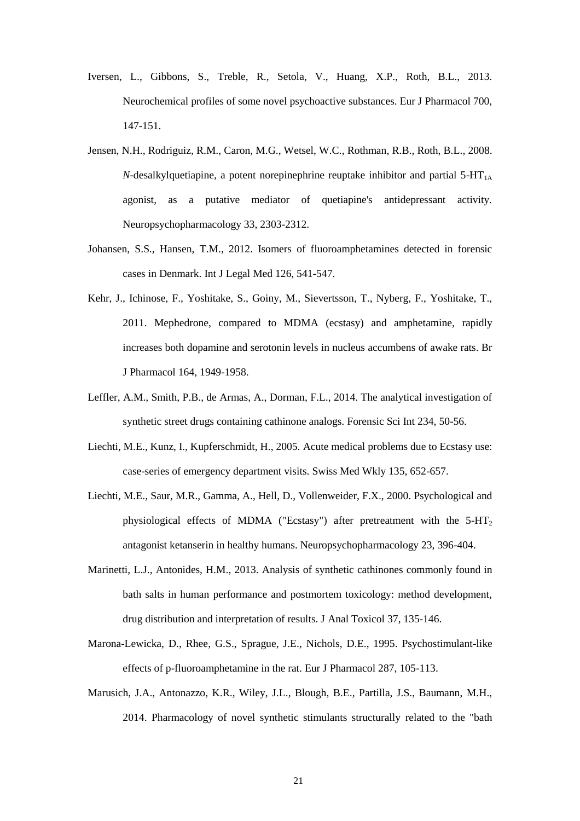- <span id="page-20-0"></span>Iversen, L., Gibbons, S., Treble, R., Setola, V., Huang, X.P., Roth, B.L., 2013. Neurochemical profiles of some novel psychoactive substances. Eur J Pharmacol 700, 147-151.
- <span id="page-20-6"></span>Jensen, N.H., Rodriguiz, R.M., Caron, M.G., Wetsel, W.C., Rothman, R.B., Roth, B.L., 2008. *N*-desalkylquetiapine, a potent norepinephrine reuptake inhibitor and partial  $5-HT<sub>1A</sub>$ agonist, as a putative mediator of quetiapine's antidepressant activity. Neuropsychopharmacology 33, 2303-2312.
- <span id="page-20-1"></span>Johansen, S.S., Hansen, T.M., 2012. Isomers of fluoroamphetamines detected in forensic cases in Denmark. Int J Legal Med 126, 541-547.
- <span id="page-20-8"></span>Kehr, J., Ichinose, F., Yoshitake, S., Goiny, M., Sievertsson, T., Nyberg, F., Yoshitake, T., 2011. Mephedrone, compared to MDMA (ecstasy) and amphetamine, rapidly increases both dopamine and serotonin levels in nucleus accumbens of awake rats. Br J Pharmacol 164, 1949-1958.
- <span id="page-20-4"></span>Leffler, A.M., Smith, P.B., de Armas, A., Dorman, F.L., 2014. The analytical investigation of synthetic street drugs containing cathinone analogs. Forensic Sci Int 234, 50-56.
- <span id="page-20-7"></span>Liechti, M.E., Kunz, I., Kupferschmidt, H., 2005. Acute medical problems due to Ecstasy use: case-series of emergency department visits. Swiss Med Wkly 135, 652-657.
- <span id="page-20-9"></span>Liechti, M.E., Saur, M.R., Gamma, A., Hell, D., Vollenweider, F.X., 2000. Psychological and physiological effects of MDMA ("Ecstasy") after pretreatment with the  $5-HT<sub>2</sub>$ antagonist ketanserin in healthy humans. Neuropsychopharmacology 23, 396-404.
- <span id="page-20-5"></span>Marinetti, L.J., Antonides, H.M., 2013. Analysis of synthetic cathinones commonly found in bath salts in human performance and postmortem toxicology: method development, drug distribution and interpretation of results. J Anal Toxicol 37, 135-146.
- <span id="page-20-2"></span>Marona-Lewicka, D., Rhee, G.S., Sprague, J.E., Nichols, D.E., 1995. Psychostimulant-like effects of p-fluoroamphetamine in the rat. Eur J Pharmacol 287, 105-113.
- <span id="page-20-3"></span>Marusich, J.A., Antonazzo, K.R., Wiley, J.L., Blough, B.E., Partilla, J.S., Baumann, M.H., 2014. Pharmacology of novel synthetic stimulants structurally related to the "bath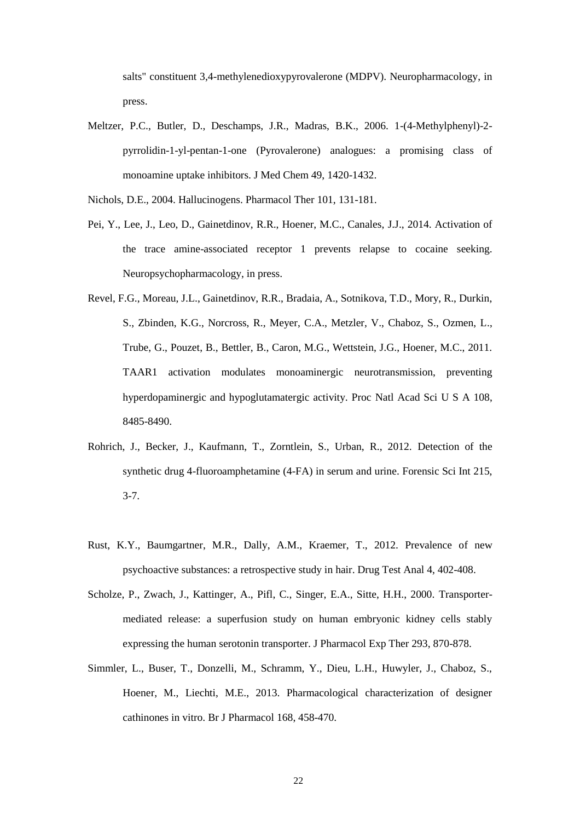salts" constituent 3,4-methylenedioxypyrovalerone (MDPV). Neuropharmacology, in press.

- <span id="page-21-3"></span>Meltzer, P.C., Butler, D., Deschamps, J.R., Madras, B.K., 2006. 1-(4-Methylphenyl)-2 pyrrolidin-1-yl-pentan-1-one (Pyrovalerone) analogues: a promising class of monoamine uptake inhibitors. J Med Chem 49, 1420-1432.
- <span id="page-21-4"></span>Nichols, D.E., 2004. Hallucinogens. Pharmacol Ther 101, 131-181.
- <span id="page-21-5"></span>Pei, Y., Lee, J., Leo, D., Gainetdinov, R.R., Hoener, M.C., Canales, J.J., 2014. Activation of the trace amine-associated receptor 1 prevents relapse to cocaine seeking. Neuropsychopharmacology, in press.
- <span id="page-21-7"></span>Revel, F.G., Moreau, J.L., Gainetdinov, R.R., Bradaia, A., Sotnikova, T.D., Mory, R., Durkin, S., Zbinden, K.G., Norcross, R., Meyer, C.A., Metzler, V., Chaboz, S., Ozmen, L., Trube, G., Pouzet, B., Bettler, B., Caron, M.G., Wettstein, J.G., Hoener, M.C., 2011. TAAR1 activation modulates monoaminergic neurotransmission, preventing hyperdopaminergic and hypoglutamatergic activity. Proc Natl Acad Sci U S A 108, 8485-8490.
- <span id="page-21-2"></span>Rohrich, J., Becker, J., Kaufmann, T., Zorntlein, S., Urban, R., 2012. Detection of the synthetic drug 4-fluoroamphetamine (4-FA) in serum and urine. Forensic Sci Int 215, 3-7.
- <span id="page-21-1"></span>Rust, K.Y., Baumgartner, M.R., Dally, A.M., Kraemer, T., 2012. Prevalence of new psychoactive substances: a retrospective study in hair. Drug Test Anal 4, 402-408.
- <span id="page-21-6"></span>Scholze, P., Zwach, J., Kattinger, A., Pifl, C., Singer, E.A., Sitte, H.H., 2000. Transportermediated release: a superfusion study on human embryonic kidney cells stably expressing the human serotonin transporter. J Pharmacol Exp Ther 293, 870-878.
- <span id="page-21-0"></span>Simmler, L., Buser, T., Donzelli, M., Schramm, Y., Dieu, L.H., Huwyler, J., Chaboz, S., Hoener, M., Liechti, M.E., 2013. Pharmacological characterization of designer cathinones in vitro. Br J Pharmacol 168, 458-470.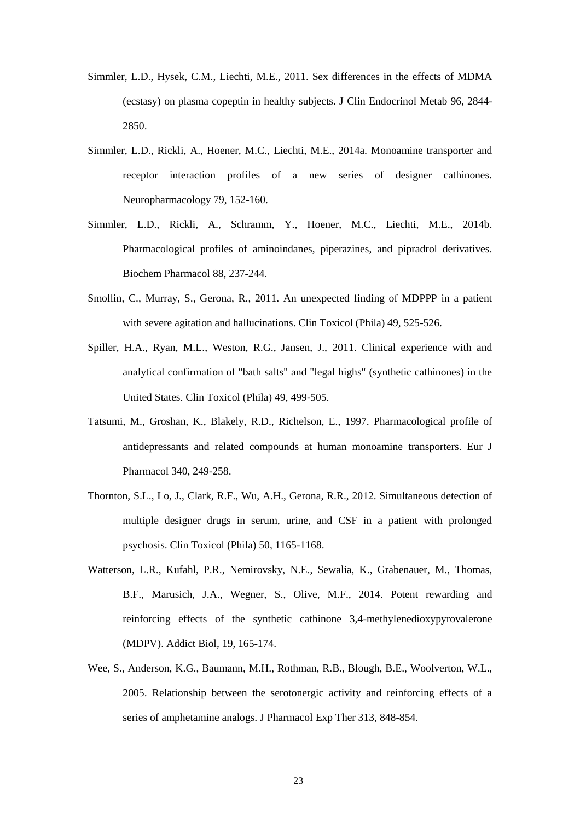- <span id="page-22-7"></span>Simmler, L.D., Hysek, C.M., Liechti, M.E., 2011. Sex differences in the effects of MDMA (ecstasy) on plasma copeptin in healthy subjects. J Clin Endocrinol Metab 96, 2844- 2850.
- <span id="page-22-0"></span>Simmler, L.D., Rickli, A., Hoener, M.C., Liechti, M.E., 2014a. Monoamine transporter and receptor interaction profiles of a new series of designer cathinones. Neuropharmacology 79, 152-160.
- <span id="page-22-1"></span>Simmler, L.D., Rickli, A., Schramm, Y., Hoener, M.C., Liechti, M.E., 2014b. Pharmacological profiles of aminoindanes, piperazines, and pipradrol derivatives. Biochem Pharmacol 88, 237-244.
- <span id="page-22-3"></span>Smollin, C., Murray, S., Gerona, R., 2011. An unexpected finding of MDPPP in a patient with severe agitation and hallucinations. Clin Toxicol (Phila) 49, 525-526.
- <span id="page-22-2"></span>Spiller, H.A., Ryan, M.L., Weston, R.G., Jansen, J., 2011. Clinical experience with and analytical confirmation of "bath salts" and "legal highs" (synthetic cathinones) in the United States. Clin Toxicol (Phila) 49, 499-505.
- <span id="page-22-5"></span>Tatsumi, M., Groshan, K., Blakely, R.D., Richelson, E., 1997. Pharmacological profile of antidepressants and related compounds at human monoamine transporters. Eur J Pharmacol 340, 249-258.
- <span id="page-22-4"></span>Thornton, S.L., Lo, J., Clark, R.F., Wu, A.H., Gerona, R.R., 2012. Simultaneous detection of multiple designer drugs in serum, urine, and CSF in a patient with prolonged psychosis. Clin Toxicol (Phila) 50, 1165-1168.
- <span id="page-22-8"></span>Watterson, L.R., Kufahl, P.R., Nemirovsky, N.E., Sewalia, K., Grabenauer, M., Thomas, B.F., Marusich, J.A., Wegner, S., Olive, M.F., 2014. Potent rewarding and reinforcing effects of the synthetic cathinone 3,4-methylenedioxypyrovalerone (MDPV). Addict Biol, 19, 165-174.
- <span id="page-22-6"></span>Wee, S., Anderson, K.G., Baumann, M.H., Rothman, R.B., Blough, B.E., Woolverton, W.L., 2005. Relationship between the serotonergic activity and reinforcing effects of a series of amphetamine analogs. J Pharmacol Exp Ther 313, 848-854.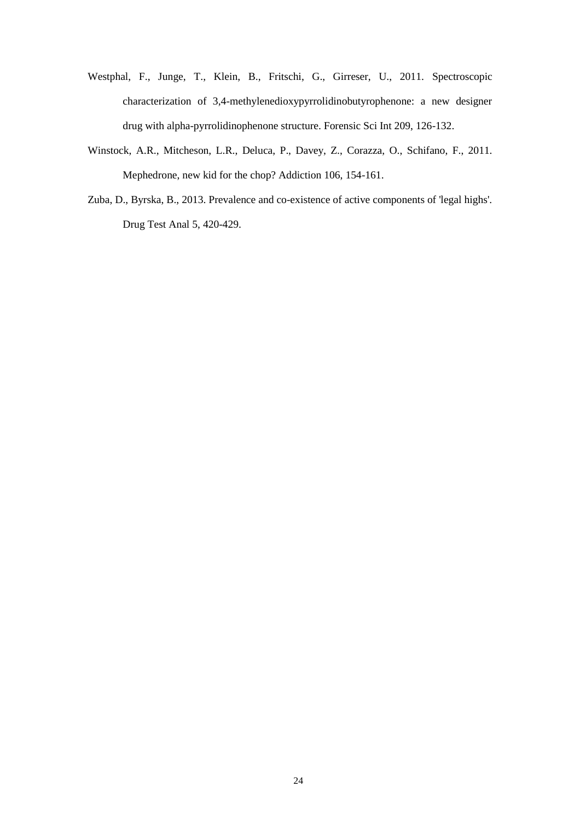- <span id="page-23-2"></span>Westphal, F., Junge, T., Klein, B., Fritschi, G., Girreser, U., 2011. Spectroscopic characterization of 3,4-methylenedioxypyrrolidinobutyrophenone: a new designer drug with alpha-pyrrolidinophenone structure. Forensic Sci Int 209, 126-132.
- <span id="page-23-0"></span>Winstock, A.R., Mitcheson, L.R., Deluca, P., Davey, Z., Corazza, O., Schifano, F., 2011. Mephedrone, new kid for the chop? Addiction 106, 154-161.
- <span id="page-23-1"></span>Zuba, D., Byrska, B., 2013. Prevalence and co-existence of active components of 'legal highs'. Drug Test Anal 5, 420-429.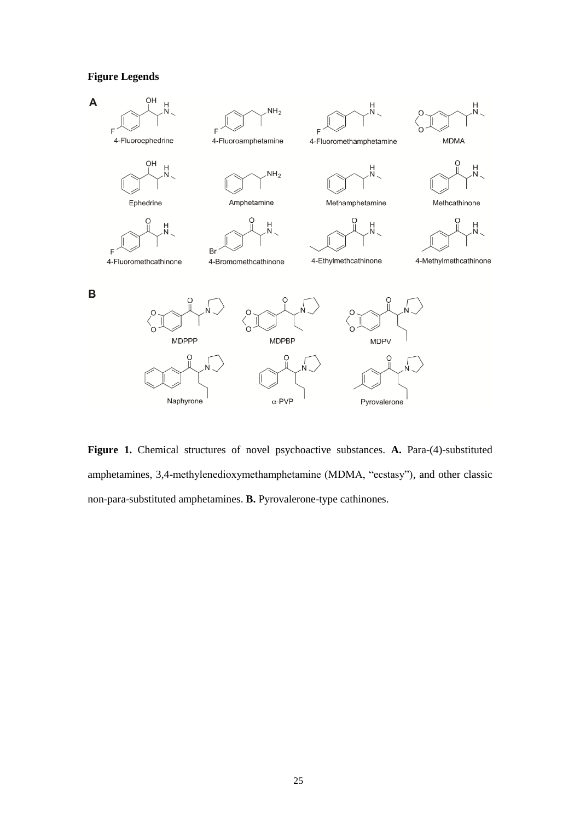# **Figure Legends**



**Figure 1.** Chemical structures of novel psychoactive substances. **A.** Para-(4)-substituted amphetamines, 3,4-methylenedioxymethamphetamine (MDMA, "ecstasy"), and other classic non-para-substituted amphetamines. **B.** Pyrovalerone-type cathinones.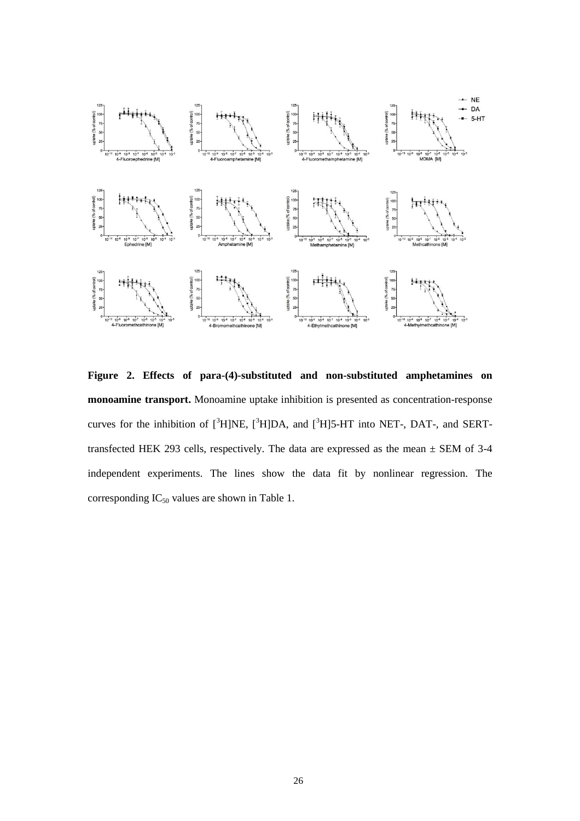

**Figure 2. Effects of para-(4)-substituted and non-substituted amphetamines on monoamine transport.** Monoamine uptake inhibition is presented as concentration-response curves for the inhibition of  $[^{3}H]NE$ ,  $[^{3}H]DA$ , and  $[^{3}H]5-HT$  into NET-, DAT-, and SERTtransfected HEK 293 cells, respectively. The data are expressed as the mean  $\pm$  SEM of 3-4 independent experiments. The lines show the data fit by nonlinear regression. The corresponding  $IC_{50}$  values are shown in Table 1.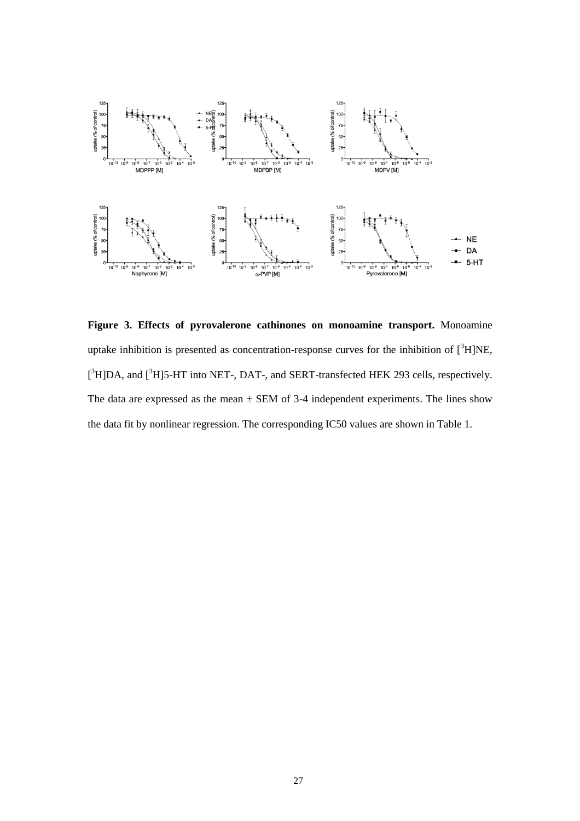

**Figure 3. Effects of pyrovalerone cathinones on monoamine transport.** Monoamine uptake inhibition is presented as concentration-response curves for the inhibition of  $[^3H]$ NE,  $[^3H]DA$ , and  $[^3H]5-HT$  into NET-, DAT-, and SERT-transfected HEK 293 cells, respectively. The data are expressed as the mean  $\pm$  SEM of 3-4 independent experiments. The lines show the data fit by nonlinear regression. The corresponding IC50 values are shown in Table 1.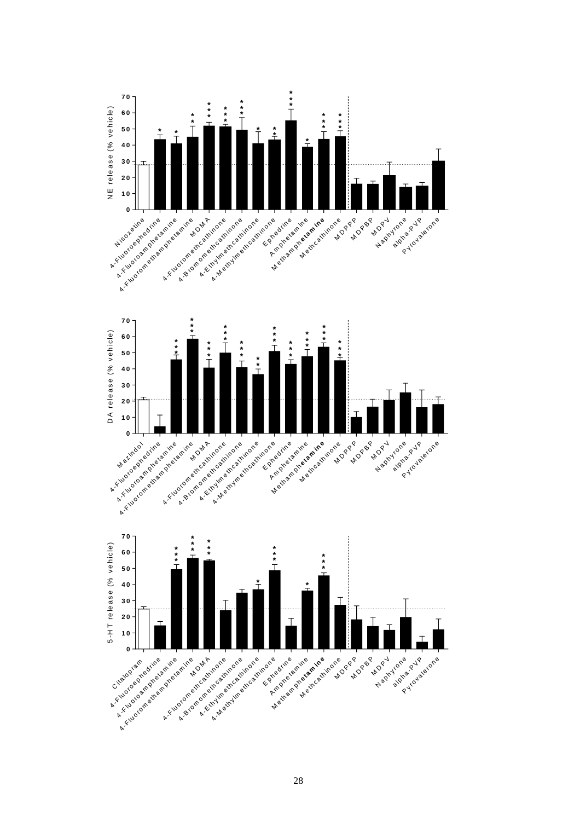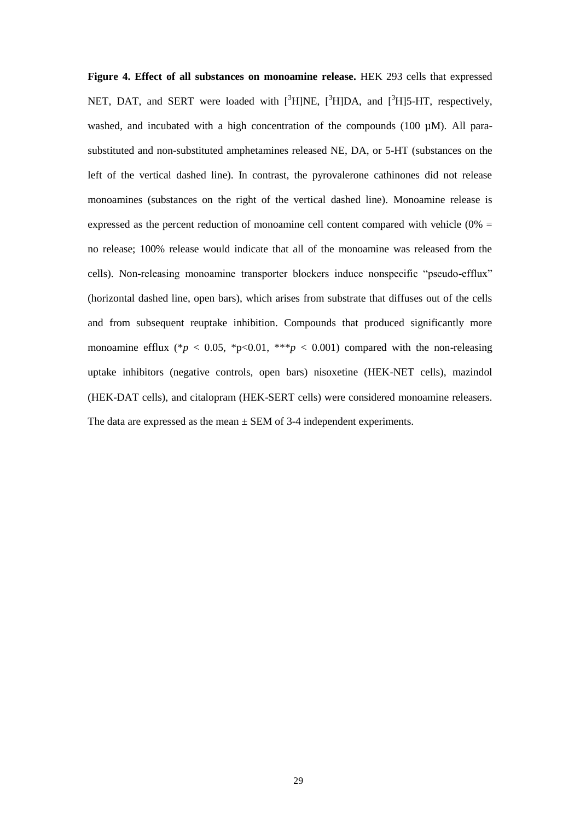**Figure 4. Effect of all substances on monoamine release.** HEK 293 cells that expressed NET, DAT, and SERT were loaded with  $[{}^{3}H]NE$ ,  $[{}^{3}H]DA$ , and  $[{}^{3}H]5-HT$ , respectively, washed, and incubated with a high concentration of the compounds (100  $\mu$ M). All parasubstituted and non-substituted amphetamines released NE, DA, or 5-HT (substances on the left of the vertical dashed line). In contrast, the pyrovalerone cathinones did not release monoamines (substances on the right of the vertical dashed line). Monoamine release is expressed as the percent reduction of monoamine cell content compared with vehicle ( $0\%$  = no release; 100% release would indicate that all of the monoamine was released from the cells). Non-releasing monoamine transporter blockers induce nonspecific "pseudo-efflux" (horizontal dashed line, open bars), which arises from substrate that diffuses out of the cells and from subsequent reuptake inhibition. Compounds that produced significantly more monoamine efflux (\* $p < 0.05$ , \* $p < 0.01$ , \*\*\* $p < 0.001$ ) compared with the non-releasing uptake inhibitors (negative controls, open bars) nisoxetine (HEK-NET cells), mazindol (HEK-DAT cells), and citalopram (HEK-SERT cells) were considered monoamine releasers. The data are expressed as the mean  $\pm$  SEM of 3-4 independent experiments.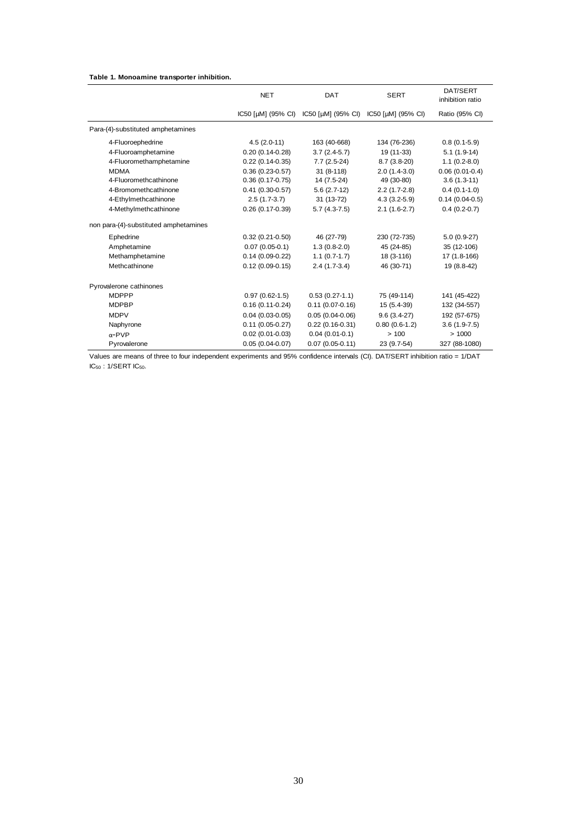#### **Table 1. Monoamine transporter inhibition.**

|                                       | <b>NET</b>          | <b>DAT</b>          | <b>SERT</b>                           | DAT/SERT<br>inhibition ratio |  |
|---------------------------------------|---------------------|---------------------|---------------------------------------|------------------------------|--|
|                                       | IC50 [µM] (95% CI)  |                     | IC50 [µM] (95% CI) IC50 [µM] (95% CI) | Ratio (95% CI)               |  |
| Para-(4)-substituted amphetamines     |                     |                     |                                       |                              |  |
| 4-Fluoroephedrine                     | $4.5(2.0-11)$       | 163 (40-668)        | 134 (76-236)                          | $0.8(0.1-5.9)$               |  |
| 4-Fluoroamphetamine                   | $0.20(0.14-0.28)$   | $3.7(2.4-5.7)$      | 19 (11-33)                            | $5.1(1.9-14)$                |  |
| 4-Fluoromethamphetamine               | $0.22(0.14-0.35)$   | $7.7(2.5-24)$       | $8.7(3.8-20)$                         | $1.1(0.2-8.0)$               |  |
| <b>MDMA</b>                           | $0.36(0.23 - 0.57)$ | $31(8-118)$         | $2.0(1.4-3.0)$                        | $0.06(0.01-0.4)$             |  |
| 4-Fluoromethcathinone                 | $0.36(0.17-0.75)$   | 14 (7.5-24)         | 49 (30-80)                            | $3.6(1.3-11)$                |  |
| 4-Bromomethcathinone                  | $0.41(0.30-0.57)$   | $5.6(2.7-12)$       | $2.2(1.7-2.8)$                        | $0.4(0.1-1.0)$               |  |
| 4-Ethylmethcathinone                  | $2.5(1.7-3.7)$      | 31 (13-72)          | $4.3(3.2-5.9)$                        | $0.14(0.04-0.5)$             |  |
| 4-Methylmethcathinone                 | $0.26(0.17-0.39)$   | $5.7(4.3-7.5)$      | $2.1(1.6-2.7)$                        | $0.4(0.2-0.7)$               |  |
| non para-(4)-substituted amphetamines |                     |                     |                                       |                              |  |
| Ephedrine                             | $0.32(0.21-0.50)$   | 46 (27-79)          | 230 (72-735)                          | $5.0(0.9-27)$                |  |
| Amphetamine                           | $0.07(0.05-0.1)$    | $1.3(0.8-2.0)$      | 45 (24-85)                            | 35 (12-106)                  |  |
| Methamphetamine                       | $0.14(0.09 - 0.22)$ | $1.1(0.7-1.7)$      | 18 (3-116)                            | 17 (1.8-166)                 |  |
| Methcathinone                         | $0.12(0.09-0.15)$   | $2.4(1.7-3.4)$      | 46 (30-71)                            | 19 (8.8-42)                  |  |
| Pyrovalerone cathinones               |                     |                     |                                       |                              |  |
| <b>MDPPP</b>                          | $0.97(0.62-1.5)$    | $0.53(0.27-1.1)$    | 75 (49-114)                           | 141 (45-422)                 |  |
| <b>MDPBP</b>                          | $0.16(0.11-0.24)$   | $0.11(0.07 - 0.16)$ | 15 (5.4-39)                           | 132 (34-557)                 |  |
| <b>MDPV</b>                           | $0.04(0.03-0.05)$   | $0.05(0.04-0.06)$   | $9.6(3.4-27)$                         | 192 (57-675)                 |  |
| Naphyrone                             | $0.11(0.05 - 0.27)$ | $0.22(0.16-0.31)$   | $0.80(0.6-1.2)$                       | $3.6(1.9-7.5)$               |  |
| $\alpha$ -PVP                         | $0.02(0.01-0.03)$   | $0.04(0.01-0.1)$    | >100                                  | >1000                        |  |
| Pyrovalerone                          | $0.05(0.04-0.07)$   | $0.07(0.05 - 0.11)$ | 23 (9.7-54)                           | 327 (88-1080)                |  |

Values are means of three to four independent experiments and 95% confidence intervals (CI). DAT/SERT inhibition ratio = 1/DAT  $IC_{50}$ : 1/SERT  $IC_{50}$ .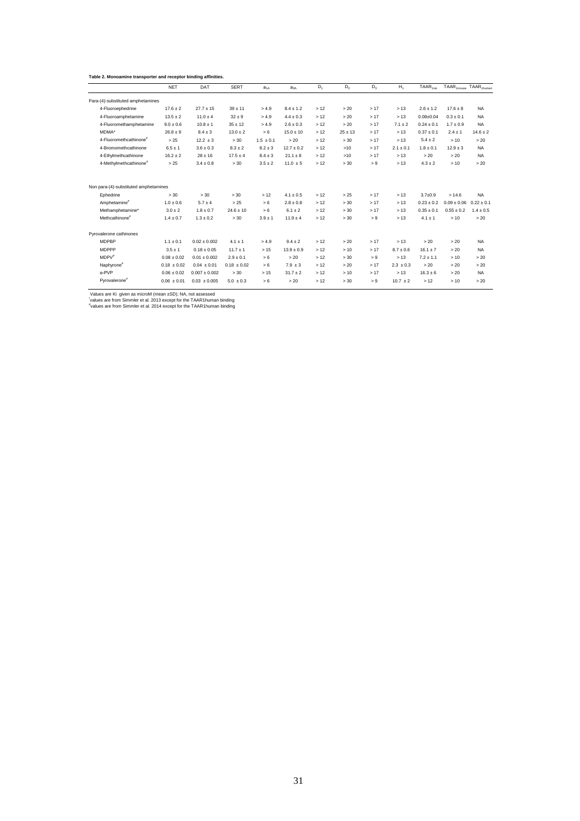#### **Table 2. Monoamine transporter and receptor binding affinities.**

|                                       | <b>NET</b>      | DAT               | <b>SERT</b>     | $a_{1A}$      | $a_{2A}$       | $D_1$ | $D_{2}$     | $D_3$ | н,            | TAAR <sub>1rat</sub> | TAAR <sub>1mouse</sub> TAAR <sub>1human</sub> |                |
|---------------------------------------|-----------------|-------------------|-----------------|---------------|----------------|-------|-------------|-------|---------------|----------------------|-----------------------------------------------|----------------|
| Para-(4)-substituted amphetamines     |                 |                   |                 |               |                |       |             |       |               |                      |                                               |                |
| 4-Fluoroephedrine                     | $17.6 \pm 2$    | $27.7 \pm 15$     | $39 + 11$       | > 4.9         | $8.4 \pm 1.2$  | >12   | > 20        | >17   | > 13          | $2.6 \pm 1.2$        | $17.6 \pm 8$                                  | <b>NA</b>      |
| 4-Fluoroamphetamine                   | $13.5 \pm 2$    | $11.0 \pm 4$      | $32 + 9$        | > 4.9         | $4.4 \pm 0.3$  | >12   | > 20        | >17   | > 13          | $0.08 + 0.04$        | $0.3 \pm 0.1$                                 | <b>NA</b>      |
| 4-Fluoromethamphetamine               | $9.0 \pm 0.6$   | $10.8 \pm 1$      | $35 \pm 12$     | > 4.9         | $2.6 \pm 0.3$  | >12   | > 20        | >17   | $7.1 \pm 2$   | $0.24 \pm 0.1$       | $1.7 \pm 0.9$                                 | <b>NA</b>      |
| MDMA*                                 | $26.8 \pm 9$    | $8.4 \pm 3$       | $13.0 \pm 2$    | > 6           | $15.0 \pm 10$  | >12   | $25 \pm 13$ | >17   | >13           | $0.37 \pm 0.1$       | $2.4 \pm 1$                                   | $14.6 \pm 2$   |
| 4-Fluoromethcathinone <sup>#</sup>    | > 25            | $12.2 \pm 3$      | > 30            | $1.5 \pm 0.1$ | > 20           | >12   | > 30        | >17   | > 13          | $5.4 \pm 2$          | >10                                           | > 20           |
| 4-Bromomethcathinone                  | $6.5 \pm 1$     | $3.6 \pm 0.3$     | $8.3 \pm 2$     | $8.2 \pm 3$   | $12.7 \pm 0.2$ | >12   | >10         | >17   | $2.1 \pm 0.1$ | $1.8 \pm 0.1$        | $12.9 \pm 3$                                  | <b>NA</b>      |
| 4-Ethylmethcathinone                  | $16.2 \pm 2$    | $28 \pm 16$       | $17.5 \pm 4$    | $8.4 \pm 3$   | $21.1 \pm 8$   | >12   | >10         | >17   | >13           | > 20                 | > 20                                          | <b>NA</b>      |
| 4-Methylmethcathinone <sup>®</sup>    | > 25            | $3.4 \pm 0.8$     | > 30            | $3.5 \pm 2$   | $11.0 \pm 5$   | >12   | > 30        | > 9   | > 13          | $4.3 \pm 2$          | >10                                           | > 20           |
| Non para-(4)-substituted amphetamines |                 |                   |                 |               |                |       |             |       |               |                      |                                               |                |
| Ephedrine                             | > 30            | > 30              | > 30            | >12           | $4.1 + 0.5$    | >12   | > 25        | >17   | > 13          | $3.7 + 0.9$          | >14.6                                         | <b>NA</b>      |
| Amphetamine <sup>#</sup>              | $1.0 \pm 0.6$   | $5.7 \pm 4$       | > 25            | > 6           | $2.8 \pm 0.8$  | >12   | > 30        | >17   | >13           | $0.23 \pm 0.2$       | $0.09 \pm 0.06$                               | $0.22 \pm 0.1$ |
| Methamphetamine*                      | $3.0 \pm 2$     | $1.8 \pm 0.7$     | $24.6 \pm 10$   | > 6           | $6.1 \pm 2$    | >12   | > 30        | >17   | >13           | $0.35 \pm 0.1$       | $0.55 \pm 0.2$                                | $1.4 \pm 0.5$  |
| Methcathinone <sup>#</sup>            | $1.4 + 0.7$     | $1.3 \pm 0.2$     | > 30            | $3.9 \pm 1$   | $11.9 + 4$     | >12   | > 30        | > 9   | > 13          | $4.1 + 1$            | >10                                           | > 20           |
| Pyrovalerone cathinones               |                 |                   |                 |               |                |       |             |       |               |                      |                                               |                |
| <b>MDPBP</b>                          | $1.1 + 0.1$     | $0.02 + 0.002$    | $4.1 + 1$       | > 4.9         | $9.4 + 2$      | >12   | > 20        | >17   | > 13          | > 20                 | > 20                                          | <b>NA</b>      |
| <b>MDPPP</b>                          | $3.5 \pm 1$     | $0.18 \pm 0.05$   | $11.7 \pm 1$    | >15           | $13.9 \pm 0.9$ | >12   | >10         | >17   | $8.7 \pm 0.6$ | $16.1 + 7$           | > 20                                          | <b>NA</b>      |
| $MDPV$ #                              | $0.08 \pm 0.02$ | $0.01 \pm 0.002$  | $2.9 \pm 0.1$   | > 6           | > 20           | >12   | > 30        | > 9   | > 13          | $7.2 + 1.1$          | >10                                           | > 20           |
| Naphyrone <sup>#</sup>                | $0.18 \pm 0.02$ | $0.04 \pm 0.01$   | $0.18 \pm 0.02$ | > 6           | $7.9 \pm 3$    | >12   | > 20        | >17   | $2.3 \pm 0.3$ | > 20                 | > 20                                          | > 20           |
| $\alpha$ -PVP                         | $0.06 \pm 0.02$ | $0.007 \pm 0.002$ | > 30            | >15           | $31.7 \pm 2$   | >12   | >10         | >17   | > 13          | $16.3 \pm 6$         | > 20                                          | <b>NA</b>      |
| Pyrovalerone <sup>#</sup>             | $0.06 \pm 0.01$ | $0.03 \pm 0.005$  | $5.0 \pm 0.3$   | > 6           | > 20           | >12   | > 30        | > 9   | $10.7 \pm 2$  | >12                  | >10                                           | > 20           |

Values are Ki given as microM (mean ±SD); NA, not assessed \*values are from Simmler et al. 2013 except for the TAAR1human binding #values are from Simmler et al. 2014 except for the TAAR1human binding